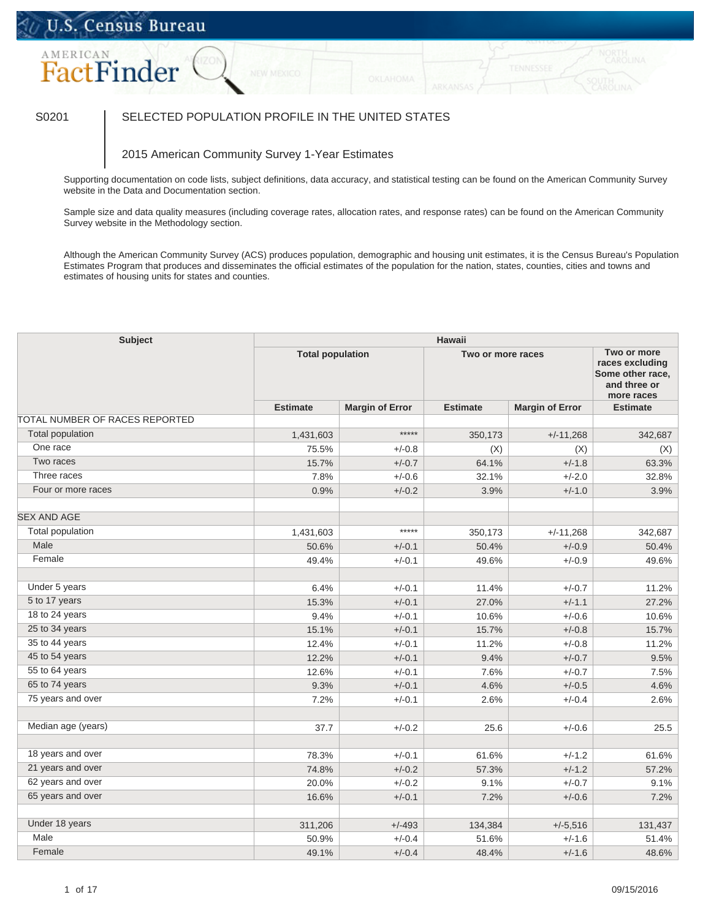## U.S. Census Bureau

# **FactFinder**

### S0201 SELECTED POPULATION PROFILE IN THE UNITED STATES

#### 2015 American Community Survey 1-Year Estimates

Supporting documentation on code lists, subject definitions, data accuracy, and statistical testing can be found on the American Community Survey website in the Data and Documentation section.

Sample size and data quality measures (including coverage rates, allocation rates, and response rates) can be found on the American Community Survey website in the Methodology section.

Although the American Community Survey (ACS) produces population, demographic and housing unit estimates, it is the Census Bureau's Population Estimates Program that produces and disseminates the official estimates of the population for the nation, states, counties, cities and towns and estimates of housing units for states and counties.

| <b>Subject</b>                 | <b>Hawaii</b>   |                         |                 |                        |                 |  |
|--------------------------------|-----------------|-------------------------|-----------------|------------------------|-----------------|--|
|                                |                 | <b>Total population</b> |                 | Two or more races      |                 |  |
|                                | <b>Estimate</b> | <b>Margin of Error</b>  | <b>Estimate</b> | <b>Margin of Error</b> | <b>Estimate</b> |  |
| TOTAL NUMBER OF RACES REPORTED |                 |                         |                 |                        |                 |  |
| <b>Total population</b>        | 1,431,603       | $****$                  | 350,173         | $+/-11,268$            | 342,687         |  |
| One race                       | 75.5%           | $+/-0.8$                | (X)             | (X)                    | (X)             |  |
| Two races                      | 15.7%           | $+/-0.7$                | 64.1%           | $+/-1.8$               | 63.3%           |  |
| Three races                    | 7.8%            | $+/-0.6$                | 32.1%           | $+/-2.0$               | 32.8%           |  |
| Four or more races             | 0.9%            | $+/-0.2$                | 3.9%            | $+/-1.0$               | 3.9%            |  |
| <b>SEX AND AGE</b>             |                 |                         |                 |                        |                 |  |
| Total population               | 1,431,603       | *****                   | 350,173         | $+/-11,268$            | 342,687         |  |
| Male                           | 50.6%           | $+/-0.1$                | 50.4%           | $+/-0.9$               | 50.4%           |  |
| Female                         | 49.4%           | $+/-0.1$                | 49.6%           | $+/-0.9$               | 49.6%           |  |
| Under 5 years                  | 6.4%            | $+/-0.1$                | 11.4%           | $+/-0.7$               | 11.2%           |  |
| 5 to 17 years                  | 15.3%           | $+/-0.1$                | 27.0%           | $+/-1.1$               | 27.2%           |  |
| 18 to 24 years                 | 9.4%            | $+/-0.1$                | 10.6%           | $+/-0.6$               | 10.6%           |  |
| 25 to 34 years                 | 15.1%           | $+/-0.1$                | 15.7%           | $+/-0.8$               | 15.7%           |  |
| 35 to 44 years                 | 12.4%           | $+/-0.1$                | 11.2%           | $+/-0.8$               | 11.2%           |  |
| 45 to 54 years                 | 12.2%           | $+/-0.1$                | 9.4%            | $+/-0.7$               | 9.5%            |  |
| 55 to 64 years                 | 12.6%           | $+/-0.1$                | 7.6%            | $+/-0.7$               | 7.5%            |  |
| 65 to 74 years                 | 9.3%            | $+/-0.1$                | 4.6%            | $+/-0.5$               | 4.6%            |  |
| 75 years and over              | 7.2%            | $+/-0.1$                | 2.6%            | $+/-0.4$               | 2.6%            |  |
| Median age (years)             | 37.7            | $+/-0.2$                | 25.6            | $+/-0.6$               | 25.5            |  |
| 18 years and over              | 78.3%           | $+/-0.1$                | 61.6%           | $+/-1.2$               | 61.6%           |  |
| 21 years and over              | 74.8%           | $+/-0.2$                | 57.3%           | $+/-1.2$               | 57.2%           |  |
| 62 years and over              | 20.0%           | $+/-0.2$                | 9.1%            | $+/-0.7$               | 9.1%            |  |
| 65 years and over              | 16.6%           | $+/-0.1$                | 7.2%            | $+/-0.6$               | 7.2%            |  |
| Under 18 years                 | 311,206         | $+/-493$                | 134,384         | $+/-5,516$             | 131,437         |  |
| Male                           | 50.9%           | $+/-0.4$                | 51.6%           | $+/-1.6$               | 51.4%           |  |
| Female                         | 49.1%           | $+/-0.4$                | 48.4%           | $+/-1.6$               | 48.6%           |  |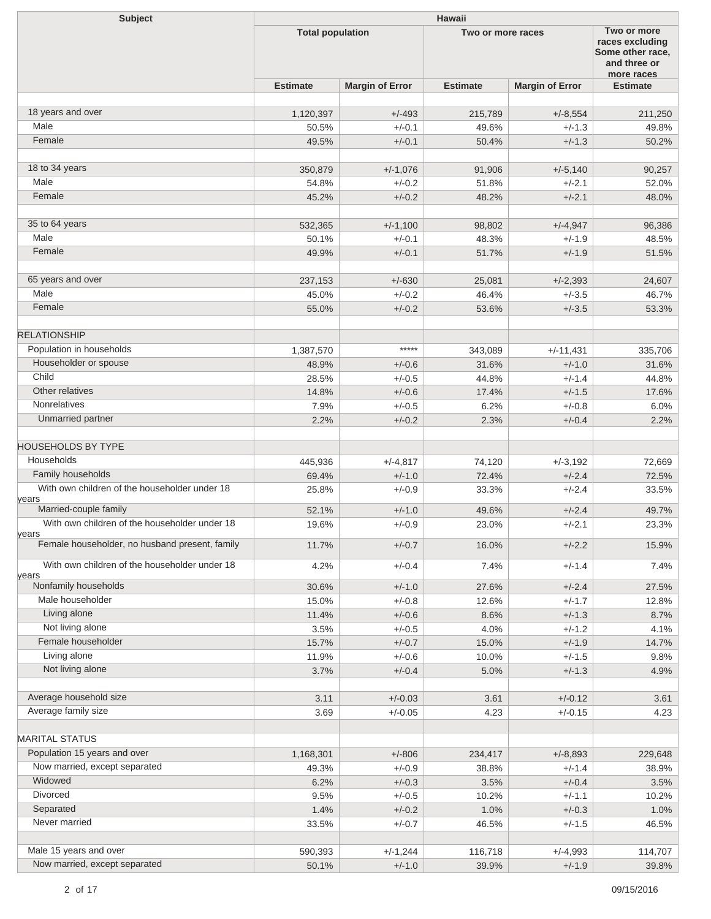| <b>Subject</b>                                         | <b>Hawaii</b>           |                        |                   |                        |                                                                                  |  |
|--------------------------------------------------------|-------------------------|------------------------|-------------------|------------------------|----------------------------------------------------------------------------------|--|
|                                                        | <b>Total population</b> |                        | Two or more races |                        | Two or more<br>races excluding<br>Some other race.<br>and three or<br>more races |  |
|                                                        | <b>Estimate</b>         | <b>Margin of Error</b> | <b>Estimate</b>   | <b>Margin of Error</b> | <b>Estimate</b>                                                                  |  |
|                                                        |                         |                        |                   |                        |                                                                                  |  |
| 18 years and over                                      | 1,120,397               | $+/-493$               | 215,789           | $+/-8,554$             | 211,250                                                                          |  |
| Male                                                   | 50.5%                   | $+/-0.1$               | 49.6%             | $+/-1.3$               | 49.8%                                                                            |  |
| Female                                                 | 49.5%                   | $+/-0.1$               | 50.4%             | $+/-1.3$               | 50.2%                                                                            |  |
|                                                        |                         |                        |                   |                        |                                                                                  |  |
| 18 to 34 years                                         | 350,879                 | $+/-1,076$             | 91,906            | $+/-5,140$             | 90,257                                                                           |  |
| Male                                                   | 54.8%                   | $+/-0.2$               | 51.8%             | $+/-2.1$               | 52.0%                                                                            |  |
| Female                                                 | 45.2%                   | $+/-0.2$               | 48.2%             | $+/-2.1$               | 48.0%                                                                            |  |
|                                                        |                         |                        |                   |                        |                                                                                  |  |
| 35 to 64 years                                         | 532,365                 | $+/-1,100$             | 98,802            | $+/-4,947$             | 96,386                                                                           |  |
| Male                                                   | 50.1%                   | $+/-0.1$               | 48.3%             | $+/-1.9$               | 48.5%                                                                            |  |
| Female                                                 | 49.9%                   | $+/-0.1$               | 51.7%             | $+/-1.9$               | 51.5%                                                                            |  |
|                                                        |                         |                        |                   |                        |                                                                                  |  |
| 65 years and over                                      | 237,153                 | $+/-630$               | 25,081            | $+/-2,393$             | 24,607                                                                           |  |
| Male                                                   | 45.0%                   | $+/-0.2$               | 46.4%             | $+/-3.5$               | 46.7%                                                                            |  |
| Female                                                 | 55.0%                   | $+/-0.2$               | 53.6%             | $+/-3.5$               | 53.3%                                                                            |  |
|                                                        |                         |                        |                   |                        |                                                                                  |  |
| <b>RELATIONSHIP</b>                                    |                         |                        |                   |                        |                                                                                  |  |
| Population in households                               | 1,387,570               | *****                  | 343,089           | $+/-11,431$            | 335,706                                                                          |  |
| Householder or spouse                                  | 48.9%                   | $+/-0.6$               | 31.6%             | $+/-1.0$               | 31.6%                                                                            |  |
| Child                                                  | 28.5%                   | $+/-0.5$               | 44.8%             | $+/-1.4$               | 44.8%                                                                            |  |
| Other relatives                                        | 14.8%                   | $+/-0.6$               | 17.4%             | $+/-1.5$               | 17.6%                                                                            |  |
| <b>Nonrelatives</b>                                    | 7.9%                    | $+/-0.5$               | 6.2%              | $+/-0.8$               | 6.0%                                                                             |  |
| Unmarried partner                                      | 2.2%                    | $+/-0.2$               | 2.3%              | $+/-0.4$               | 2.2%                                                                             |  |
|                                                        |                         |                        |                   |                        |                                                                                  |  |
| <b>HOUSEHOLDS BY TYPE</b>                              |                         |                        |                   |                        |                                                                                  |  |
| Households                                             | 445,936                 | $+/-4,817$             | 74,120            | $+/-3,192$             | 72,669                                                                           |  |
| Family households                                      | 69.4%                   | $+/-1.0$               | 72.4%             | $+/-2.4$               | 72.5%                                                                            |  |
| With own children of the householder under 18          | 25.8%                   | $+/-0.9$               | 33.3%             | $+/-2.4$               | 33.5%                                                                            |  |
| years                                                  |                         |                        |                   |                        |                                                                                  |  |
| Married-couple family                                  | 52.1%                   | $+/-1.0$               | 49.6%             | $+/-2.4$               | 49.7%                                                                            |  |
| With own children of the householder under 18<br>years | 19.6%                   | $+/-0.9$               | 23.0%             | $+/-2.1$               | 23.3%                                                                            |  |
| Female householder, no husband present, family         | 11.7%                   | $+/-0.7$               | 16.0%             | $+/-2.2$               | 15.9%                                                                            |  |
| With own children of the householder under 18          | 4.2%                    | $+/-0.4$               | 7.4%              | $+/-1.4$               | 7.4%                                                                             |  |
| years                                                  |                         |                        |                   |                        |                                                                                  |  |
| Nonfamily households                                   | 30.6%                   | $+/-1.0$               | 27.6%             | $+/-2.4$               | 27.5%                                                                            |  |
| Male householder                                       | 15.0%                   | $+/-0.8$               | 12.6%             | $+/-1.7$               | 12.8%                                                                            |  |
| Living alone                                           | 11.4%                   | $+/-0.6$               | 8.6%              | $+/-1.3$               | 8.7%                                                                             |  |
| Not living alone                                       | 3.5%                    | $+/-0.5$               | 4.0%              | $+/-1.2$               | 4.1%                                                                             |  |
| Female householder                                     | 15.7%                   | $+/-0.7$               | 15.0%             | $+/-1.9$               | 14.7%                                                                            |  |
| Living alone                                           | 11.9%                   | $+/-0.6$               | 10.0%             | $+/-1.5$               | 9.8%                                                                             |  |
| Not living alone                                       | 3.7%                    | $+/-0.4$               | 5.0%              | $+/-1.3$               | 4.9%                                                                             |  |
|                                                        |                         |                        |                   |                        |                                                                                  |  |
| Average household size                                 | 3.11                    | $+/-0.03$              | 3.61              | $+/-0.12$              | 3.61                                                                             |  |
| Average family size                                    | 3.69                    | $+/-0.05$              | 4.23              | $+/-0.15$              | 4.23                                                                             |  |
|                                                        |                         |                        |                   |                        |                                                                                  |  |
| <b>MARITAL STATUS</b>                                  |                         |                        |                   |                        |                                                                                  |  |
| Population 15 years and over                           | 1,168,301               | $+/-806$               | 234,417           | $+/-8,893$             | 229,648                                                                          |  |
| Now married, except separated                          | 49.3%                   | $+/-0.9$               | 38.8%             | $+/-1.4$               | 38.9%                                                                            |  |
| Widowed                                                | 6.2%                    | $+/-0.3$               | 3.5%              | $+/-0.4$               | 3.5%                                                                             |  |
| Divorced                                               | 9.5%                    | $+/-0.5$               | 10.2%             | $+/-1.1$               | 10.2%                                                                            |  |
| Separated                                              | 1.4%                    | $+/-0.2$               | 1.0%              | $+/-0.3$               | 1.0%                                                                             |  |
| Never married                                          | 33.5%                   | $+/-0.7$               | 46.5%             | $+/-1.5$               | 46.5%                                                                            |  |
| Male 15 years and over                                 | 590,393                 | $+/-1,244$             | 116,718           | $+/-4,993$             | 114,707                                                                          |  |
| Now married, except separated                          | 50.1%                   | $+/-1.0$               | 39.9%             | $+/-1.9$               | 39.8%                                                                            |  |
|                                                        |                         |                        |                   |                        |                                                                                  |  |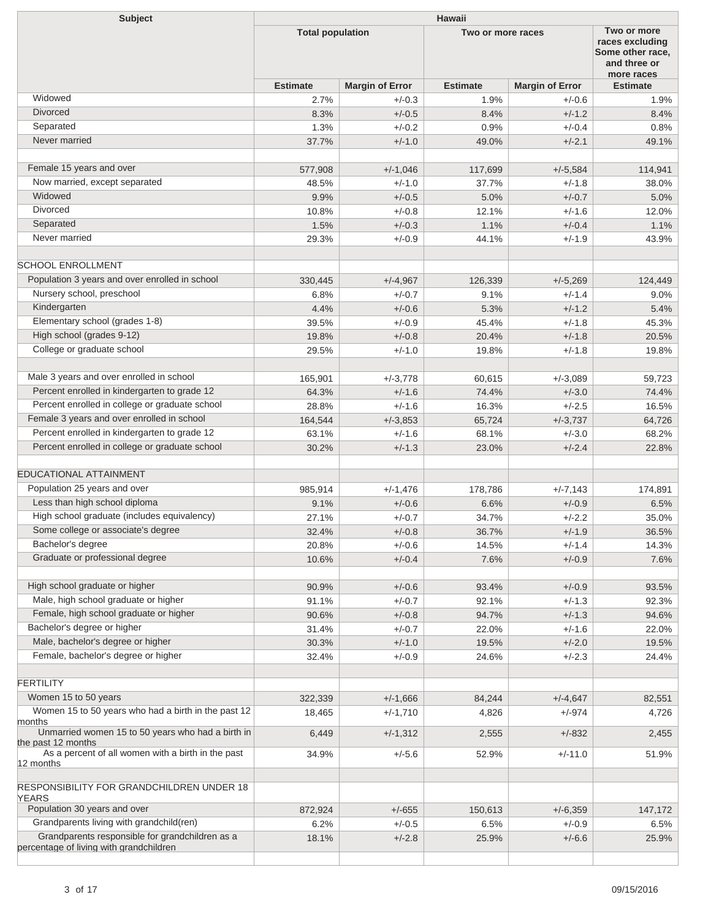| <b>Subject</b>                                                                             | <b>Hawaii</b>           |                        |                   |                                                                                  |                 |  |  |
|--------------------------------------------------------------------------------------------|-------------------------|------------------------|-------------------|----------------------------------------------------------------------------------|-----------------|--|--|
|                                                                                            | <b>Total population</b> |                        | Two or more races | Two or more<br>races excluding<br>Some other race.<br>and three or<br>more races |                 |  |  |
|                                                                                            | <b>Estimate</b>         | <b>Margin of Error</b> | <b>Estimate</b>   | <b>Margin of Error</b>                                                           | <b>Estimate</b> |  |  |
| Widowed                                                                                    | 2.7%                    | $+/-0.3$               | 1.9%              | $+/-0.6$                                                                         | 1.9%            |  |  |
| <b>Divorced</b>                                                                            | 8.3%                    | $+/-0.5$               | 8.4%              | $+/-1.2$                                                                         | 8.4%            |  |  |
| Separated                                                                                  | 1.3%                    | $+/-0.2$               | 0.9%              | $+/-0.4$                                                                         | 0.8%            |  |  |
| Never married                                                                              | 37.7%                   | $+/-1.0$               | 49.0%             | $+/-2.1$                                                                         | 49.1%           |  |  |
| Female 15 years and over                                                                   |                         |                        |                   |                                                                                  | 114,941         |  |  |
| Now married, except separated                                                              | 577,908                 | $+/-1,046$             | 117,699           | $+/-5,584$                                                                       |                 |  |  |
| Widowed                                                                                    | 48.5%                   | $+/-1.0$               | 37.7%             | $+/-1.8$                                                                         | 38.0%           |  |  |
| <b>Divorced</b>                                                                            | 9.9%                    | $+/-0.5$               | 5.0%              | $+/-0.7$                                                                         | 5.0%            |  |  |
|                                                                                            | 10.8%                   | $+/-0.8$               | 12.1%             | $+/-1.6$                                                                         | 12.0%           |  |  |
| Separated<br>Never married                                                                 | 1.5%                    | $+/-0.3$               | 1.1%              | $+/-0.4$                                                                         | 1.1%            |  |  |
|                                                                                            | 29.3%                   | $+/-0.9$               | 44.1%             | $+/-1.9$                                                                         | 43.9%           |  |  |
| <b>SCHOOL ENROLLMENT</b>                                                                   |                         |                        |                   |                                                                                  |                 |  |  |
| Population 3 years and over enrolled in school                                             | 330,445                 | $+/-4,967$             | 126,339           | $+/-5,269$                                                                       | 124,449         |  |  |
| Nursery school, preschool                                                                  | 6.8%                    | $+/-0.7$               | 9.1%              | $+/-1.4$                                                                         | 9.0%            |  |  |
| Kindergarten                                                                               | 4.4%                    | $+/-0.6$               | 5.3%              | $+/-1.2$                                                                         | 5.4%            |  |  |
| Elementary school (grades 1-8)                                                             | 39.5%                   | $+/-0.9$               | 45.4%             | $+/-1.8$                                                                         | 45.3%           |  |  |
| High school (grades 9-12)                                                                  | 19.8%                   | $+/-0.8$               | 20.4%             | $+/-1.8$                                                                         | 20.5%           |  |  |
| College or graduate school                                                                 | 29.5%                   | $+/-1.0$               | 19.8%             | $+/-1.8$                                                                         | 19.8%           |  |  |
| Male 3 years and over enrolled in school                                                   |                         |                        |                   |                                                                                  |                 |  |  |
|                                                                                            | 165,901                 | $+/-3,778$             | 60,615            | $+/-3,089$                                                                       | 59,723          |  |  |
| Percent enrolled in kindergarten to grade 12                                               | 64.3%                   | $+/-1.6$               | 74.4%             | $+/-3.0$                                                                         | 74.4%           |  |  |
| Percent enrolled in college or graduate school                                             | 28.8%                   | $+/-1.6$               | 16.3%             | $+/-2.5$                                                                         | 16.5%           |  |  |
| Female 3 years and over enrolled in school                                                 | 164,544                 | $+/-3.853$             | 65,724            | $+/-3,737$                                                                       | 64,726          |  |  |
| Percent enrolled in kindergarten to grade 12                                               | 63.1%                   | $+/-1.6$               | 68.1%             | $+/-3.0$                                                                         | 68.2%           |  |  |
| Percent enrolled in college or graduate school                                             | 30.2%                   | $+/-1.3$               | 23.0%             | $+/-2.4$                                                                         | 22.8%           |  |  |
| EDUCATIONAL ATTAINMENT                                                                     |                         |                        |                   |                                                                                  |                 |  |  |
| Population 25 years and over                                                               | 985.914                 | $+/-1,476$             | 178,786           | $+/-7,143$                                                                       | 174,891         |  |  |
| Less than high school diploma                                                              | 9.1%                    | $+/-0.6$               | 6.6%              | $+/-0.9$                                                                         | 6.5%            |  |  |
| High school graduate (includes equivalency)                                                | 27.1%                   | $+/-0.7$               | 34.7%             | $+/-2.2$                                                                         | 35.0%           |  |  |
| Some college or associate's degree                                                         | 32.4%                   | $+/-0.8$               | 36.7%             | $+/-1.9$                                                                         | 36.5%           |  |  |
| Bachelor's degree                                                                          | 20.8%                   | $+/-0.6$               | 14.5%             | $+/-1.4$                                                                         | 14.3%           |  |  |
| Graduate or professional degree                                                            | 10.6%                   | $+/-0.4$               | 7.6%              | $+/-0.9$                                                                         | 7.6%            |  |  |
| High school graduate or higher                                                             |                         |                        |                   |                                                                                  |                 |  |  |
|                                                                                            | 90.9%                   | $+/-0.6$               | 93.4%             | $+/-0.9$                                                                         | 93.5%           |  |  |
| Male, high school graduate or higher                                                       | 91.1%                   | $+/-0.7$               | 92.1%             | $+/-1.3$                                                                         | 92.3%           |  |  |
| Female, high school graduate or higher                                                     | 90.6%                   | $+/-0.8$               | 94.7%             | $+/-1.3$                                                                         | 94.6%           |  |  |
| Bachelor's degree or higher                                                                | 31.4%                   | $+/-0.7$               | 22.0%             | $+/-1.6$                                                                         | 22.0%           |  |  |
| Male, bachelor's degree or higher                                                          | 30.3%                   | $+/-1.0$               | 19.5%             | $+/-2.0$                                                                         | 19.5%           |  |  |
| Female, bachelor's degree or higher                                                        | 32.4%                   | $+/-0.9$               | 24.6%             | $+/-2.3$                                                                         | 24.4%           |  |  |
| <b>FERTILITY</b>                                                                           |                         |                        |                   |                                                                                  |                 |  |  |
| Women 15 to 50 years                                                                       | 322,339                 | $+/-1,666$             | 84,244            | $+/-4,647$                                                                       | 82,551          |  |  |
| Women 15 to 50 years who had a birth in the past 12                                        | 18,465                  | $+/-1,710$             | 4,826             | $+/-974$                                                                         | 4,726           |  |  |
| months<br>Unmarried women 15 to 50 years who had a birth in                                | 6,449                   | $+/-1,312$             | 2,555             | $+/-832$                                                                         | 2,455           |  |  |
| the past 12 months                                                                         |                         |                        |                   |                                                                                  |                 |  |  |
| As a percent of all women with a birth in the past<br>12 months                            | 34.9%                   | $+/-5.6$               | 52.9%             | $+/-11.0$                                                                        | 51.9%           |  |  |
| RESPONSIBILITY FOR GRANDCHILDREN UNDER 18                                                  |                         |                        |                   |                                                                                  |                 |  |  |
| YEARS                                                                                      |                         |                        |                   |                                                                                  |                 |  |  |
| Population 30 years and over                                                               | 872,924                 | $+/-655$               | 150,613           | $+/-6,359$                                                                       | 147,172         |  |  |
| Grandparents living with grandchild(ren)                                                   | 6.2%                    | $+/-0.5$               | 6.5%              | $+/-0.9$                                                                         | 6.5%            |  |  |
| Grandparents responsible for grandchildren as a<br>percentage of living with grandchildren | 18.1%                   | $+/-2.8$               | 25.9%             | $+/-6.6$                                                                         | 25.9%           |  |  |
|                                                                                            |                         |                        |                   |                                                                                  |                 |  |  |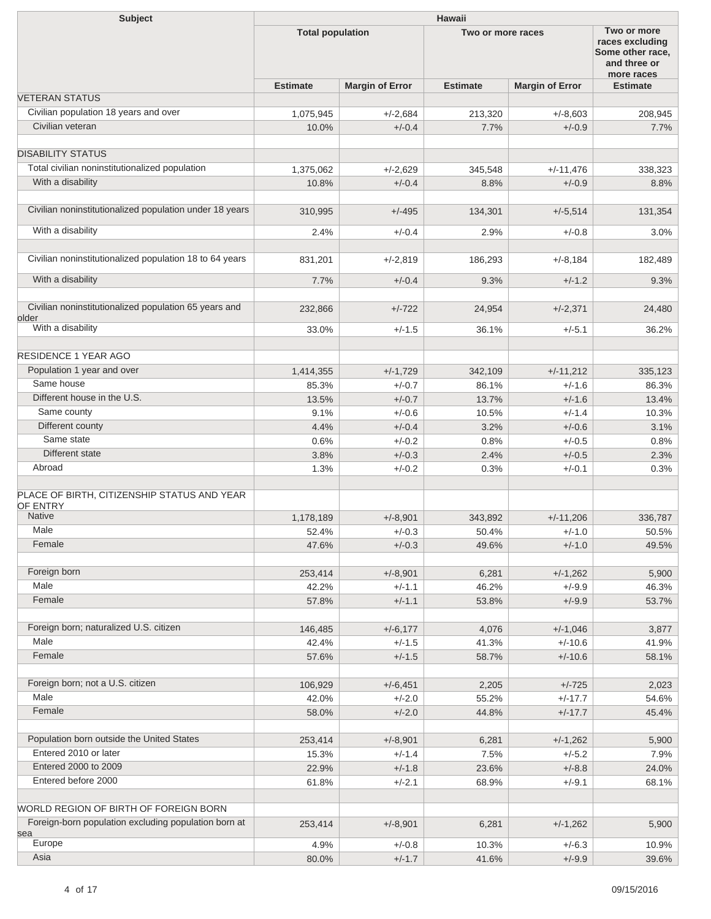| <b>Subject</b>                                                 | <b>Hawaii</b>           |                        |                   |                        |                                                                                  |  |
|----------------------------------------------------------------|-------------------------|------------------------|-------------------|------------------------|----------------------------------------------------------------------------------|--|
|                                                                | <b>Total population</b> |                        | Two or more races |                        | Two or more<br>races excluding<br>Some other race,<br>and three or<br>more races |  |
|                                                                | <b>Estimate</b>         | <b>Margin of Error</b> | <b>Estimate</b>   | <b>Margin of Error</b> | <b>Estimate</b>                                                                  |  |
| <b>VETERAN STATUS</b>                                          |                         |                        |                   |                        |                                                                                  |  |
| Civilian population 18 years and over                          | 1,075,945               | $+/-2,684$             | 213,320           | $+/-8,603$             | 208,945                                                                          |  |
| Civilian veteran                                               | 10.0%                   | $+/-0.4$               | 7.7%              | $+/-0.9$               | 7.7%                                                                             |  |
| <b>DISABILITY STATUS</b>                                       |                         |                        |                   |                        |                                                                                  |  |
| Total civilian noninstitutionalized population                 | 1,375,062               | $+/-2,629$             | 345,548           | $+/-11,476$            | 338,323                                                                          |  |
| With a disability                                              | 10.8%                   | $+/-0.4$               | 8.8%              | $+/-0.9$               | 8.8%                                                                             |  |
| Civilian noninstitutionalized population under 18 years        | 310,995                 | $+/-495$               | 134,301           | $+/-5,514$             | 131,354                                                                          |  |
| With a disability                                              | 2.4%                    | $+/-0.4$               | 2.9%              | $+/-0.8$               | 3.0%                                                                             |  |
| Civilian noninstitutionalized population 18 to 64 years        | 831,201                 | $+/-2,819$             | 186,293           | $+/-8,184$             | 182,489                                                                          |  |
| With a disability                                              | 7.7%                    | $+/-0.4$               | 9.3%              | $+/-1.2$               | 9.3%                                                                             |  |
|                                                                |                         |                        |                   |                        |                                                                                  |  |
| Civilian noninstitutionalized population 65 years and<br>older | 232,866                 | $+/-722$               | 24,954            | $+/-2,371$             | 24,480                                                                           |  |
| With a disability                                              | 33.0%                   | $+/-1.5$               | 36.1%             | $+/-5.1$               | 36.2%                                                                            |  |
| <b>RESIDENCE 1 YEAR AGO</b>                                    |                         |                        |                   |                        |                                                                                  |  |
| Population 1 year and over                                     | 1,414,355               | $+/-1,729$             | 342,109           | $+/-11,212$            | 335,123                                                                          |  |
| Same house                                                     | 85.3%                   | $+/-0.7$               | 86.1%             | $+/-1.6$               | 86.3%                                                                            |  |
| Different house in the U.S.                                    | 13.5%                   | $+/-0.7$               | 13.7%             | $+/-1.6$               | 13.4%                                                                            |  |
| Same county                                                    | 9.1%                    | $+/-0.6$               | 10.5%             | $+/-1.4$               | 10.3%                                                                            |  |
| Different county                                               | 4.4%                    | $+/-0.4$               | 3.2%              | $+/-0.6$               | 3.1%                                                                             |  |
| Same state                                                     | 0.6%                    | $+/-0.2$               | 0.8%              | $+/-0.5$               | 0.8%                                                                             |  |
| Different state                                                | 3.8%                    | $+/-0.3$               | 2.4%              | $+/-0.5$               | 2.3%                                                                             |  |
| Abroad                                                         | 1.3%                    | $+/-0.2$               | 0.3%              | $+/-0.1$               | 0.3%                                                                             |  |
| PLACE OF BIRTH, CITIZENSHIP STATUS AND YEAR                    |                         |                        |                   |                        |                                                                                  |  |
| OF ENTRY                                                       |                         |                        |                   |                        |                                                                                  |  |
| <b>Native</b>                                                  | 1,178,189               | $+/-8,901$             | 343,892           | $+/-11,206$            | 336,787                                                                          |  |
| Male                                                           | 52.4%                   | $+/-0.3$               | 50.4%             | $+/-1.0$               | 50.5%                                                                            |  |
| Female                                                         | 47.6%                   | $+/-0.3$               | 49.6%             | $+/-1.0$               | 49.5%                                                                            |  |
| Foreign born                                                   | 253,414                 |                        |                   |                        |                                                                                  |  |
| Male                                                           |                         | $+/-8,901$             | 6,281             | $+/-1,262$             | 5,900                                                                            |  |
| Female                                                         | 42.2%<br>57.8%          | $+/-1.1$<br>$+/-1.1$   | 46.2%<br>53.8%    | $+/-9.9$<br>$+/-9.9$   | 46.3%<br>53.7%                                                                   |  |
|                                                                |                         |                        |                   |                        |                                                                                  |  |
| Foreign born; naturalized U.S. citizen                         | 146,485                 | $+/-6,177$             | 4,076             | $+/-1,046$             | 3,877                                                                            |  |
| Male                                                           | 42.4%                   | $+/-1.5$               | 41.3%             | $+/-10.6$              | 41.9%                                                                            |  |
| Female                                                         | 57.6%                   | $+/-1.5$               | 58.7%             | $+/-10.6$              | 58.1%                                                                            |  |
| Foreign born; not a U.S. citizen                               | 106,929                 | $+/-6,451$             | 2,205             | $+/-725$               | 2,023                                                                            |  |
| Male                                                           | 42.0%                   | $+/-2.0$               | 55.2%             | $+/-17.7$              | 54.6%                                                                            |  |
| Female                                                         | 58.0%                   | $+/-2.0$               | 44.8%             | $+/-17.7$              | 45.4%                                                                            |  |
| Population born outside the United States                      | 253,414                 | $+/-8,901$             | 6,281             | $+/-1,262$             | 5,900                                                                            |  |
| Entered 2010 or later                                          | 15.3%                   | $+/-1.4$               | 7.5%              | $+/-5.2$               | 7.9%                                                                             |  |
| Entered 2000 to 2009                                           | 22.9%                   | $+/-1.8$               | 23.6%             | $+/-8.8$               | 24.0%                                                                            |  |
| Entered before 2000                                            | 61.8%                   | $+/-2.1$               | 68.9%             | $+/-9.1$               | 68.1%                                                                            |  |
| WORLD REGION OF BIRTH OF FOREIGN BORN                          |                         |                        |                   |                        |                                                                                  |  |
| Foreign-born population excluding population born at           | 253,414                 |                        |                   |                        |                                                                                  |  |
| sea                                                            |                         | $+/-8,901$             | 6,281             | $+/-1,262$             | 5,900                                                                            |  |
| Europe                                                         | 4.9%                    | $+/-0.8$               | 10.3%             | $+/-6.3$               | 10.9%                                                                            |  |
| Asia                                                           | 80.0%                   | $+/-1.7$               | 41.6%             | $+/-9.9$               | 39.6%                                                                            |  |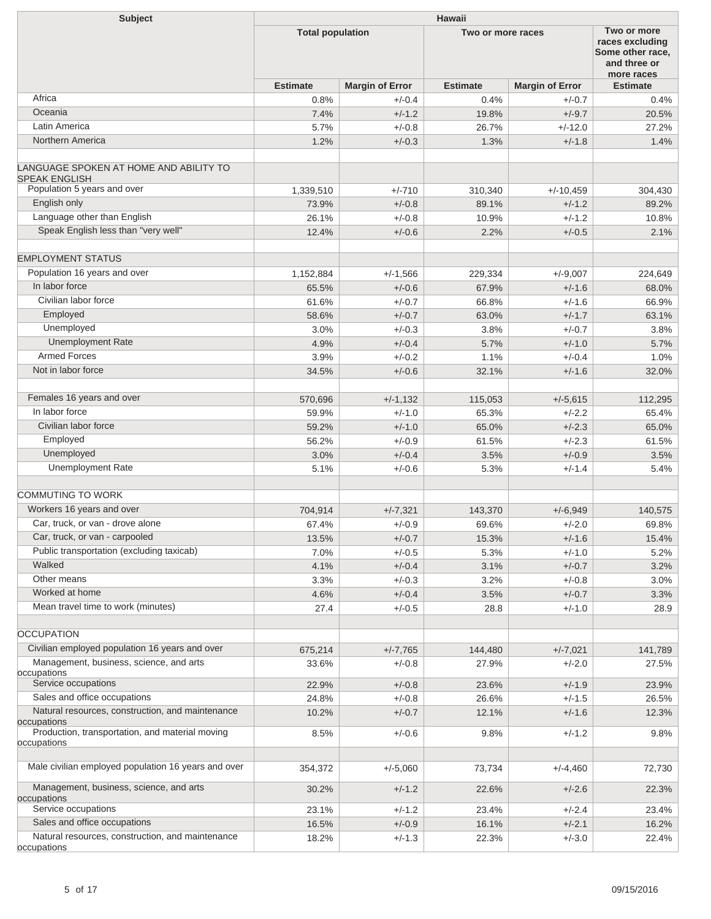| <b>Subject</b>                                                                | <b>Hawaii</b>           |                        |                   |                        |                                                                                  |  |  |
|-------------------------------------------------------------------------------|-------------------------|------------------------|-------------------|------------------------|----------------------------------------------------------------------------------|--|--|
|                                                                               | <b>Total population</b> |                        | Two or more races |                        | Two or more<br>races excluding<br>Some other race,<br>and three or<br>more races |  |  |
|                                                                               | <b>Estimate</b>         | <b>Margin of Error</b> | <b>Estimate</b>   | <b>Margin of Error</b> | <b>Estimate</b>                                                                  |  |  |
| Africa                                                                        | 0.8%                    | $+/-0.4$               | 0.4%              | $+/-0.7$               | 0.4%                                                                             |  |  |
| Oceania                                                                       | 7.4%                    | $+/-1.2$               | 19.8%             | $+/-9.7$               | 20.5%                                                                            |  |  |
| Latin America                                                                 | 5.7%                    | $+/-0.8$               | 26.7%             | $+/-12.0$              | 27.2%                                                                            |  |  |
| Northern America                                                              | 1.2%                    | $+/-0.3$               | 1.3%              | $+/-1.8$               | 1.4%                                                                             |  |  |
| LANGUAGE SPOKEN AT HOME AND ABILITY TO<br><b>SPEAK ENGLISH</b>                |                         |                        |                   |                        |                                                                                  |  |  |
| Population 5 years and over                                                   | 1,339,510               | $+/-710$               | 310,340           | $+/-10,459$            | 304,430                                                                          |  |  |
| English only                                                                  | 73.9%                   | $+/-0.8$               | 89.1%             | $+/-1.2$               | 89.2%                                                                            |  |  |
| Language other than English                                                   | 26.1%                   | $+/-0.8$               | 10.9%             | $+/-1.2$               | 10.8%                                                                            |  |  |
| Speak English less than "very well"                                           | 12.4%                   | $+/-0.6$               | 2.2%              | $+/-0.5$               | 2.1%                                                                             |  |  |
| <b>EMPLOYMENT STATUS</b>                                                      |                         |                        |                   |                        |                                                                                  |  |  |
| Population 16 years and over                                                  | 1,152,884               | $+/-1,566$             | 229,334           | $+/-9,007$             | 224,649                                                                          |  |  |
| In labor force                                                                | 65.5%                   | $+/-0.6$               | 67.9%             | $+/-1.6$               | 68.0%                                                                            |  |  |
| Civilian labor force                                                          | 61.6%                   | $+/-0.7$               | 66.8%             | $+/-1.6$               | 66.9%                                                                            |  |  |
| Employed                                                                      | 58.6%                   | $+/-0.7$               | 63.0%             | $+/-1.7$               | 63.1%                                                                            |  |  |
| Unemployed                                                                    | 3.0%                    | $+/-0.3$               | 3.8%              | $+/-0.7$               | 3.8%                                                                             |  |  |
| <b>Unemployment Rate</b>                                                      | 4.9%                    | $+/-0.4$               | 5.7%              | $+/-1.0$               | 5.7%                                                                             |  |  |
| <b>Armed Forces</b>                                                           | 3.9%                    | $+/-0.2$               | 1.1%              | $+/-0.4$               | 1.0%                                                                             |  |  |
| Not in labor force                                                            | 34.5%                   | $+/-0.6$               | 32.1%             | $+/-1.6$               | 32.0%                                                                            |  |  |
|                                                                               |                         |                        |                   |                        |                                                                                  |  |  |
| Females 16 years and over                                                     | 570,696                 | $+/-1,132$             | 115,053           | $+/-5,615$             | 112,295                                                                          |  |  |
| In labor force                                                                | 59.9%                   | $+/-1.0$               | 65.3%             | $+/-2.2$               | 65.4%                                                                            |  |  |
| Civilian labor force                                                          | 59.2%                   | $+/-1.0$               | 65.0%             | $+/-2.3$               | 65.0%                                                                            |  |  |
| Employed                                                                      | 56.2%                   | $+/-0.9$               | 61.5%             | $+/-2.3$               | 61.5%                                                                            |  |  |
| Unemployed                                                                    | 3.0%                    | $+/-0.4$               | 3.5%              | $+/-0.9$               | 3.5%                                                                             |  |  |
| <b>Unemployment Rate</b>                                                      | 5.1%                    | $+/-0.6$               | 5.3%              | $+/-1.4$               | 5.4%                                                                             |  |  |
|                                                                               |                         |                        |                   |                        |                                                                                  |  |  |
| <b>COMMUTING TO WORK</b>                                                      |                         |                        |                   |                        |                                                                                  |  |  |
| Workers 16 years and over                                                     | 704,914                 | $+/-7,321$             | 143,370           | $+/-6.949$             | 140,575                                                                          |  |  |
| Car, truck, or van - drove alone                                              | 67.4%                   | $+/-0.9$               | 69.6%             | $+/-2.0$               | 69.8%                                                                            |  |  |
| Car, truck, or van - carpooled                                                | 13.5%                   | $+/-0.7$               | 15.3%             | $+/-1.6$               | 15.4%                                                                            |  |  |
| Public transportation (excluding taxicab)                                     | 7.0%                    | $+/-0.5$               | 5.3%              | $+/-1.0$               | 5.2%                                                                             |  |  |
| Walked                                                                        | 4.1%                    | $+/-0.4$               | 3.1%              | $+/-0.7$               | 3.2%                                                                             |  |  |
| Other means                                                                   | 3.3%                    | $+/-0.3$               | 3.2%              | $+/-0.8$               | 3.0%                                                                             |  |  |
| Worked at home                                                                | 4.6%                    | $+/-0.4$               | 3.5%              | $+/-0.7$               | 3.3%                                                                             |  |  |
| Mean travel time to work (minutes)                                            | 27.4                    | $+/-0.5$               | 28.8              | $+/-1.0$               | 28.9                                                                             |  |  |
| <b>OCCUPATION</b>                                                             |                         |                        |                   |                        |                                                                                  |  |  |
|                                                                               |                         |                        |                   |                        |                                                                                  |  |  |
| Civilian employed population 16 years and over                                | 675,214                 | $+/-7,765$             | 144,480           | $+/-7,021$             | 141,789                                                                          |  |  |
| Management, business, science, and arts<br>occupations                        | 33.6%                   | $+/-0.8$               | 27.9%             | $+/-2.0$               | 27.5%                                                                            |  |  |
| Service occupations                                                           | 22.9%                   | $+/-0.8$               | 23.6%             | $+/-1.9$               | 23.9%                                                                            |  |  |
| Sales and office occupations                                                  | 24.8%                   | $+/-0.8$               | 26.6%             | $+/-1.5$               | 26.5%                                                                            |  |  |
| Natural resources, construction, and maintenance                              | 10.2%                   | $+/-0.7$               | 12.1%             | $+/-1.6$               | 12.3%                                                                            |  |  |
| occupations<br>Production, transportation, and material moving<br>occupations | 8.5%                    | $+/-0.6$               | 9.8%              | $+/-1.2$               | 9.8%                                                                             |  |  |
| Male civilian employed population 16 years and over                           | 354,372                 | $+/-5,060$             | 73,734            | $+/-4,460$             | 72,730                                                                           |  |  |
| Management, business, science, and arts<br>occupations                        | 30.2%                   | $+/-1.2$               | 22.6%             | $+/-2.6$               | 22.3%                                                                            |  |  |
| Service occupations                                                           | 23.1%                   | $+/-1.2$               | 23.4%             | $+/-2.4$               | 23.4%                                                                            |  |  |
| Sales and office occupations                                                  | 16.5%                   | $+/-0.9$               | 16.1%             | $+/-2.1$               | 16.2%                                                                            |  |  |
| Natural resources, construction, and maintenance<br>occupations               | 18.2%                   | $+/-1.3$               | 22.3%             | $+/-3.0$               | 22.4%                                                                            |  |  |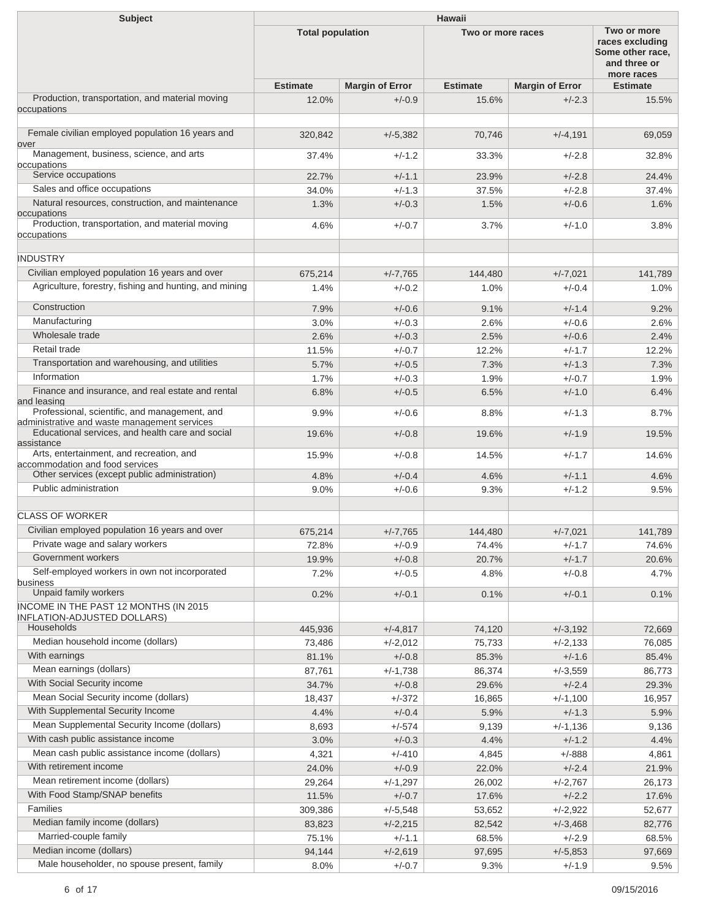| <b>Subject</b>                                                                                | Hawaii                  |                        |                   |                        |                                                                                  |  |
|-----------------------------------------------------------------------------------------------|-------------------------|------------------------|-------------------|------------------------|----------------------------------------------------------------------------------|--|
|                                                                                               | <b>Total population</b> |                        | Two or more races |                        | Two or more<br>races excluding<br>Some other race,<br>and three or<br>more races |  |
|                                                                                               | <b>Estimate</b>         | <b>Margin of Error</b> | <b>Estimate</b>   | <b>Margin of Error</b> | <b>Estimate</b>                                                                  |  |
| Production, transportation, and material moving<br>occupations                                | 12.0%                   | $+/-0.9$               | 15.6%             | $+/-2.3$               | 15.5%                                                                            |  |
| Female civilian employed population 16 years and<br>over                                      | 320,842                 | $+/-5,382$             | 70,746            | $+/-4,191$             | 69,059                                                                           |  |
| Management, business, science, and arts<br>occupations                                        | 37.4%                   | $+/-1.2$               | 33.3%             | $+/-2.8$               | 32.8%                                                                            |  |
| Service occupations                                                                           | 22.7%                   | $+/-1.1$               | 23.9%             | $+/-2.8$               | 24.4%                                                                            |  |
| Sales and office occupations                                                                  | 34.0%                   | $+/-1.3$               | 37.5%             | $+/-2.8$               | 37.4%                                                                            |  |
| Natural resources, construction, and maintenance<br>occupations                               | 1.3%                    | $+/-0.3$               | 1.5%              | $+/-0.6$               | 1.6%                                                                             |  |
| Production, transportation, and material moving<br>occupations                                | 4.6%                    | $+/-0.7$               | 3.7%              | $+/-1.0$               | 3.8%                                                                             |  |
| <b>INDUSTRY</b>                                                                               |                         |                        |                   |                        |                                                                                  |  |
| Civilian employed population 16 years and over                                                | 675,214                 | $+/-7,765$             | 144,480           | $+/-7,021$             | 141,789                                                                          |  |
| Agriculture, forestry, fishing and hunting, and mining                                        | 1.4%                    | $+/-0.2$               | 1.0%              | $+/-0.4$               | 1.0%                                                                             |  |
| Construction                                                                                  | 7.9%                    | $+/-0.6$               | 9.1%              | $+/-1.4$               | 9.2%                                                                             |  |
| Manufacturing                                                                                 | 3.0%                    | $+/-0.3$               | 2.6%              | $+/-0.6$               | 2.6%                                                                             |  |
| Wholesale trade                                                                               | 2.6%                    | $+/-0.3$               | 2.5%              | $+/-0.6$               | 2.4%                                                                             |  |
| Retail trade                                                                                  | 11.5%                   | $+/-0.7$               | 12.2%             | $+/-1.7$               | 12.2%                                                                            |  |
| Transportation and warehousing, and utilities                                                 | 5.7%                    | $+/-0.5$               | 7.3%              | $+/-1.3$               | 7.3%                                                                             |  |
| Information                                                                                   | 1.7%                    | $+/-0.3$               | 1.9%              | $+/-0.7$               | 1.9%                                                                             |  |
| Finance and insurance, and real estate and rental<br>and leasing                              | 6.8%                    | $+/-0.5$               | 6.5%              | $+/-1.0$               | 6.4%                                                                             |  |
| Professional, scientific, and management, and<br>administrative and waste management services | 9.9%                    | $+/-0.6$               | 8.8%              | $+/-1.3$               | 8.7%                                                                             |  |
| Educational services, and health care and social                                              | 19.6%                   | $+/-0.8$               | 19.6%             | $+/-1.9$               | 19.5%                                                                            |  |
| assistance                                                                                    |                         |                        |                   |                        |                                                                                  |  |
| Arts, entertainment, and recreation, and<br>accommodation and food services                   | 15.9%                   | $+/-0.8$               | 14.5%             | $+/-1.7$               | 14.6%                                                                            |  |
| Other services (except public administration)                                                 | 4.8%                    | $+/-0.4$               | 4.6%              | $+/-1.1$               | 4.6%                                                                             |  |
| Public administration                                                                         | 9.0%                    | $+/-0.6$               | 9.3%              | $+/-1.2$               | 9.5%                                                                             |  |
| <b>CLASS OF WORKER</b>                                                                        |                         |                        |                   |                        |                                                                                  |  |
| Civilian employed population 16 years and over                                                | 675,214                 | $+/-7,765$             | 144,480           | $+/-7,021$             | 141,789                                                                          |  |
| Private wage and salary workers                                                               | 72.8%                   | $+/-0.9$               | 74.4%             | $+/-1.7$               | 74.6%                                                                            |  |
| Government workers                                                                            | 19.9%                   | $+/-0.8$               | 20.7%             | $+/-1.7$               | 20.6%                                                                            |  |
| Self-employed workers in own not incorporated<br>business                                     | 7.2%                    | $+/-0.5$               | 4.8%              | $+/-0.8$               | 4.7%                                                                             |  |
| Unpaid family workers                                                                         | 0.2%                    | $+/-0.1$               | 0.1%              | $+/-0.1$               | 0.1%                                                                             |  |
| INCOME IN THE PAST 12 MONTHS (IN 2015<br><b>INFLATION-ADJUSTED DOLLARS)</b>                   |                         |                        |                   |                        |                                                                                  |  |
| Households                                                                                    | 445,936                 | $+/-4,817$             | 74,120            | $+/-3,192$             | 72,669                                                                           |  |
| Median household income (dollars)                                                             | 73,486                  | $+/-2,012$             | 75,733            | $+/-2,133$             | 76,085                                                                           |  |
| With earnings                                                                                 | 81.1%                   | $+/-0.8$               | 85.3%             | $+/-1.6$               | 85.4%                                                                            |  |
| Mean earnings (dollars)                                                                       | 87,761                  | $+/-1,738$             | 86,374            | $+/-3,559$             | 86,773                                                                           |  |
| With Social Security income                                                                   | 34.7%                   | $+/-0.8$               | 29.6%             | $+/-2.4$               | 29.3%                                                                            |  |
| Mean Social Security income (dollars)                                                         | 18,437                  | $+/-372$               | 16,865            | $+/-1,100$             | 16,957                                                                           |  |
| With Supplemental Security Income                                                             | 4.4%                    | $+/-0.4$               | 5.9%              | $+/-1.3$               | 5.9%                                                                             |  |
| Mean Supplemental Security Income (dollars)                                                   | 8,693                   | $+/-574$               | 9,139             | $+/-1,136$             | 9,136                                                                            |  |
| With cash public assistance income                                                            | 3.0%                    | $+/-0.3$               | 4.4%              | $+/-1.2$               | 4.4%                                                                             |  |
| Mean cash public assistance income (dollars)                                                  | 4,321                   | $+/-410$               | 4,845             | $+/-888$               | 4,861                                                                            |  |
| With retirement income                                                                        | 24.0%                   | $+/-0.9$               | 22.0%             | $+/-2.4$               | 21.9%                                                                            |  |
| Mean retirement income (dollars)                                                              | 29,264                  | $+/-1,297$             | 26,002            | $+/-2,767$             | 26,173                                                                           |  |
| With Food Stamp/SNAP benefits                                                                 | 11.5%                   | $+/-0.7$               | 17.6%             | $+/-2.2$               | 17.6%                                                                            |  |
| Families                                                                                      | 309,386                 | $+/-5,548$             | 53,652            | $+/-2,922$             | 52,677                                                                           |  |
| Median family income (dollars)                                                                | 83,823                  | $+/-2,215$             | 82,542            | $+/-3,468$             | 82,776                                                                           |  |
| Married-couple family                                                                         | 75.1%                   | $+/-1.1$               | 68.5%             | $+/-2.9$               | 68.5%                                                                            |  |
| Median income (dollars)                                                                       | 94,144                  | $+/-2,619$             | 97,695            | $+/-5,853$             | 97,669                                                                           |  |
| Male householder, no spouse present, family                                                   | 8.0%                    | $+/-0.7$               | 9.3%              | $+/-1.9$               | 9.5%                                                                             |  |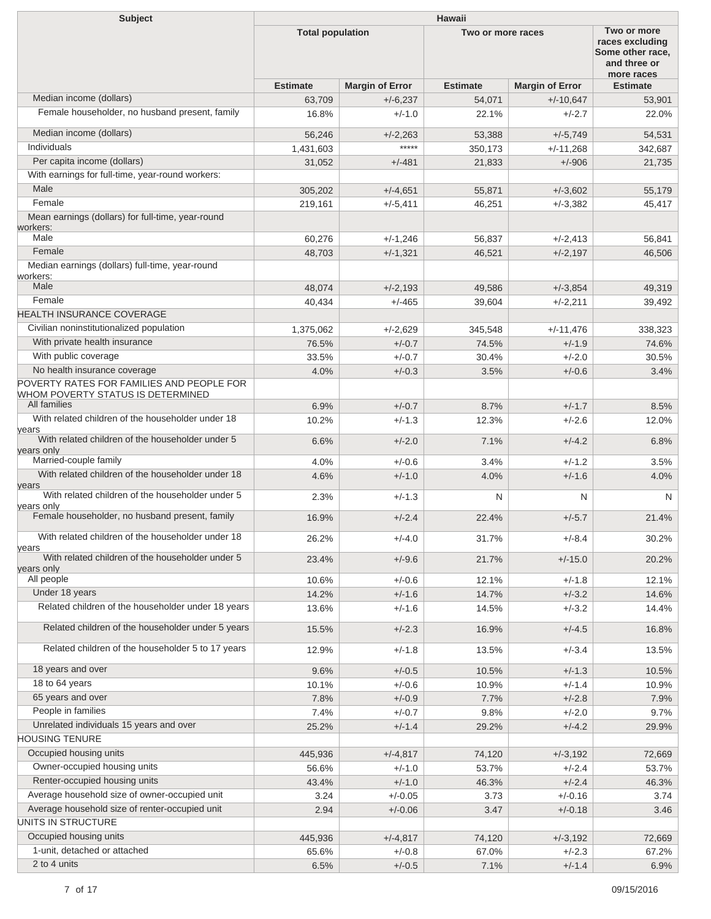| <b>Subject</b>                                                                                 | <b>Hawaii</b>           |                        |                   |                                                                                  |                 |  |
|------------------------------------------------------------------------------------------------|-------------------------|------------------------|-------------------|----------------------------------------------------------------------------------|-----------------|--|
|                                                                                                | <b>Total population</b> |                        | Two or more races | Two or more<br>races excluding<br>Some other race,<br>and three or<br>more races |                 |  |
|                                                                                                | <b>Estimate</b>         | <b>Margin of Error</b> | <b>Estimate</b>   | <b>Margin of Error</b>                                                           | <b>Estimate</b> |  |
| Median income (dollars)                                                                        | 63,709                  | $+/-6,237$             | 54,071            | $+/-10,647$                                                                      | 53,901          |  |
| Female householder, no husband present, family                                                 | 16.8%                   | $+/-1.0$               | 22.1%             | $+/-2.7$                                                                         | 22.0%           |  |
| Median income (dollars)                                                                        | 56,246                  | $+/-2,263$             | 53,388            | $+/-5,749$                                                                       | 54,531          |  |
| Individuals                                                                                    | 1,431,603               | *****                  | 350,173           | $+/-11,268$                                                                      | 342,687         |  |
| Per capita income (dollars)                                                                    | 31,052                  | $+/-481$               | 21,833            | $+/-906$                                                                         | 21,735          |  |
| With earnings for full-time, year-round workers:<br>Male                                       | 305,202                 | $+/-4,651$             | 55,871            | $+/-3,602$                                                                       | 55,179          |  |
| Female                                                                                         | 219,161                 | $+/-5,411$             | 46,251            | $+/-3,382$                                                                       | 45,417          |  |
| Mean earnings (dollars) for full-time, year-round<br>workers:                                  |                         |                        |                   |                                                                                  |                 |  |
| Male                                                                                           | 60.276                  | $+/-1,246$             | 56,837            | $+/-2,413$                                                                       | 56,841          |  |
| Female                                                                                         | 48,703                  | $+/-1,321$             | 46,521            | $+/-2,197$                                                                       | 46,506          |  |
| Median earnings (dollars) full-time, year-round<br>workers:                                    |                         |                        |                   |                                                                                  |                 |  |
| Male                                                                                           | 48,074                  | $+/-2,193$             | 49,586            | $+/-3,854$                                                                       | 49,319          |  |
| Female                                                                                         | 40,434                  | $+/-465$               | 39,604            | $+/-2,211$                                                                       | 39,492          |  |
| <b>HEALTH INSURANCE COVERAGE</b>                                                               |                         |                        |                   |                                                                                  |                 |  |
| Civilian noninstitutionalized population                                                       | 1,375,062               | $+/-2,629$             | 345.548           | $+/-11,476$                                                                      | 338,323         |  |
| With private health insurance                                                                  | 76.5%                   | $+/-0.7$               | 74.5%             | $+/-1.9$                                                                         | 74.6%           |  |
| With public coverage                                                                           | 33.5%                   | $+/-0.7$               | 30.4%             | $+/-2.0$                                                                         | 30.5%           |  |
| No health insurance coverage                                                                   | 4.0%                    | $+/-0.3$               | 3.5%              | $+/-0.6$                                                                         | 3.4%            |  |
| POVERTY RATES FOR FAMILIES AND PEOPLE FOR<br>WHOM POVERTY STATUS IS DETERMINED<br>All families | 6.9%                    | $+/-0.7$               | 8.7%              | $+/-1.7$                                                                         | 8.5%            |  |
| With related children of the householder under 18                                              | 10.2%                   | $+/-1.3$               | 12.3%             | $+/-2.6$                                                                         | 12.0%           |  |
| years<br>With related children of the householder under 5                                      | 6.6%                    | $+/-2.0$               | 7.1%              | $+/-4.2$                                                                         | 6.8%            |  |
| years only                                                                                     |                         |                        |                   |                                                                                  |                 |  |
| Married-couple family                                                                          | 4.0%                    | $+/-0.6$               | 3.4%              | $+/-1.2$                                                                         | 3.5%            |  |
| With related children of the householder under 18<br>years                                     | 4.6%                    | $+/-1.0$               | 4.0%              | $+/-1.6$                                                                         | 4.0%            |  |
| With related children of the householder under 5<br>years only                                 | 2.3%                    | $+/-1.3$               | N                 | N                                                                                | N               |  |
| Female householder, no husband present, family                                                 | 16.9%                   | $+/-2.4$               | 22.4%             | $+/-5.7$                                                                         | 21.4%           |  |
| With related children of the householder under 18<br>years                                     | 26.2%                   | $+/-4.0$               | 31.7%             | $+/-8.4$                                                                         | 30.2%           |  |
| With related children of the householder under 5                                               | 23.4%                   | $+/-9.6$               | 21.7%             | $+/-15.0$                                                                        | 20.2%           |  |
| vears only<br>All people                                                                       | 10.6%                   | $+/-0.6$               | 12.1%             | $+/-1.8$                                                                         | 12.1%           |  |
| Under 18 years                                                                                 | 14.2%                   | $+/-1.6$               | 14.7%             | $+/-3.2$                                                                         | 14.6%           |  |
| Related children of the householder under 18 years                                             | 13.6%                   | $+/-1.6$               | 14.5%             | $+/-3.2$                                                                         | 14.4%           |  |
| Related children of the householder under 5 years                                              | 15.5%                   | $+/-2.3$               | 16.9%             | $+/-4.5$                                                                         | 16.8%           |  |
| Related children of the householder 5 to 17 years                                              | 12.9%                   | $+/-1.8$               | 13.5%             | $+/-3.4$                                                                         | 13.5%           |  |
| 18 years and over                                                                              | 9.6%                    | $+/-0.5$               | 10.5%             | $+/-1.3$                                                                         | 10.5%           |  |
| 18 to 64 years                                                                                 | 10.1%                   | $+/-0.6$               | 10.9%             | $+/-1.4$                                                                         | 10.9%           |  |
| 65 years and over                                                                              | 7.8%                    | $+/-0.9$               | 7.7%              | $+/-2.8$                                                                         | 7.9%            |  |
| People in families                                                                             | 7.4%                    | $+/-0.7$               | 9.8%              | $+/-2.0$                                                                         | 9.7%            |  |
| Unrelated individuals 15 years and over                                                        | 25.2%                   | $+/-1.4$               | 29.2%             | $+/-4.2$                                                                         | 29.9%           |  |
| <b>HOUSING TENURE</b>                                                                          |                         |                        |                   |                                                                                  |                 |  |
| Occupied housing units                                                                         | 445,936                 | $+/-4,817$             | 74,120            | $+/-3,192$                                                                       | 72,669          |  |
| Owner-occupied housing units                                                                   | 56.6%                   | $+/-1.0$               | 53.7%             | $+/-2.4$                                                                         | 53.7%           |  |
| Renter-occupied housing units                                                                  | 43.4%                   | $+/-1.0$               | 46.3%             | $+/-2.4$                                                                         | 46.3%           |  |
| Average household size of owner-occupied unit                                                  | 3.24                    | $+/-0.05$              | 3.73              | $+/-0.16$                                                                        | 3.74            |  |
| Average household size of renter-occupied unit                                                 | 2.94                    | $+/-0.06$              | 3.47              | $+/-0.18$                                                                        | 3.46            |  |
| UNITS IN STRUCTURE                                                                             |                         |                        |                   |                                                                                  |                 |  |
| Occupied housing units                                                                         | 445,936                 | $+/-4,817$             | 74,120            | $+/-3,192$                                                                       | 72,669          |  |
| 1-unit, detached or attached                                                                   | 65.6%                   | $+/-0.8$               | 67.0%             | $+/-2.3$                                                                         | 67.2%           |  |
| 2 to 4 units                                                                                   | 6.5%                    | $+/-0.5$               | 7.1%              | $+/-1.4$                                                                         | 6.9%            |  |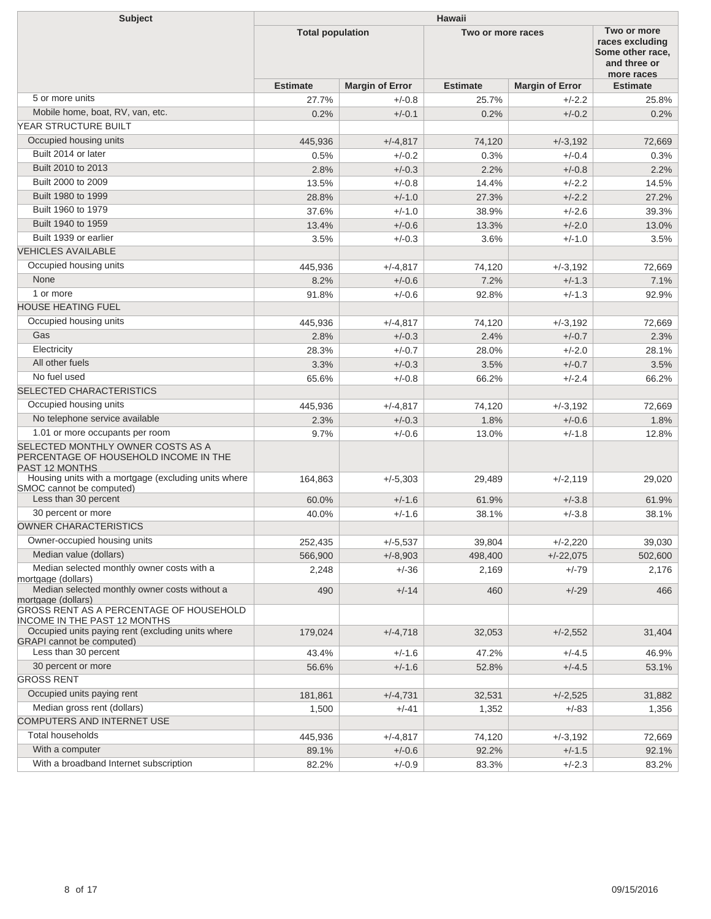| Subject                                                                                             | <b>Hawaii</b>           |                        |                   |                        |                                                                                  |  |
|-----------------------------------------------------------------------------------------------------|-------------------------|------------------------|-------------------|------------------------|----------------------------------------------------------------------------------|--|
|                                                                                                     | <b>Total population</b> |                        | Two or more races |                        | Two or more<br>races excluding<br>Some other race,<br>and three or<br>more races |  |
|                                                                                                     | <b>Estimate</b>         | <b>Margin of Error</b> | <b>Estimate</b>   | <b>Margin of Error</b> | <b>Estimate</b>                                                                  |  |
| 5 or more units                                                                                     | 27.7%                   | $+/-0.8$               | 25.7%             | $+/-2.2$               | 25.8%                                                                            |  |
| Mobile home, boat, RV, van, etc.                                                                    | 0.2%                    | $+/-0.1$               | 0.2%              | $+/-0.2$               | 0.2%                                                                             |  |
| <b>YEAR STRUCTURE BUILT</b>                                                                         |                         |                        |                   |                        |                                                                                  |  |
| Occupied housing units                                                                              | 445,936                 | $+/-4,817$             | 74,120            | $+/-3.192$             | 72,669                                                                           |  |
| Built 2014 or later                                                                                 | 0.5%                    | $+/-0.2$               | 0.3%              | $+/-0.4$               | 0.3%                                                                             |  |
| Built 2010 to 2013                                                                                  | 2.8%                    | $+/-0.3$               | 2.2%              | $+/-0.8$               | 2.2%                                                                             |  |
| Built 2000 to 2009                                                                                  | 13.5%                   | $+/-0.8$               | 14.4%             | $+/-2.2$               | 14.5%                                                                            |  |
| Built 1980 to 1999                                                                                  | 28.8%                   | $+/-1.0$               | 27.3%             | $+/-2.2$               | 27.2%                                                                            |  |
| Built 1960 to 1979                                                                                  | 37.6%                   | $+/-1.0$               | 38.9%             | $+/-2.6$               | 39.3%                                                                            |  |
| Built 1940 to 1959                                                                                  | 13.4%                   | $+/-0.6$               | 13.3%             | $+/-2.0$               | 13.0%                                                                            |  |
| Built 1939 or earlier                                                                               | 3.5%                    | $+/-0.3$               | 3.6%              | $+/-1.0$               | 3.5%                                                                             |  |
| <b>VEHICLES AVAILABLE</b>                                                                           |                         |                        |                   |                        |                                                                                  |  |
| Occupied housing units                                                                              | 445,936                 | $+/-4,817$             | 74,120            | $+/-3,192$             | 72.669                                                                           |  |
| None                                                                                                | 8.2%                    | $+/-0.6$               | 7.2%              | $+/-1.3$               | 7.1%                                                                             |  |
| 1 or more                                                                                           | 91.8%                   | $+/-0.6$               | 92.8%             | $+/-1.3$               | 92.9%                                                                            |  |
| <b>HOUSE HEATING FUEL</b>                                                                           |                         |                        |                   |                        |                                                                                  |  |
| Occupied housing units                                                                              | 445,936                 | $+/-4,817$             | 74,120            | $+/-3,192$             | 72,669                                                                           |  |
| Gas                                                                                                 | 2.8%                    | $+/-0.3$               | 2.4%              | $+/-0.7$               | 2.3%                                                                             |  |
| Electricity                                                                                         | 28.3%                   | $+/-0.7$               | 28.0%             | $+/-2.0$               | 28.1%                                                                            |  |
| All other fuels                                                                                     | 3.3%                    | $+/-0.3$               | 3.5%              | $+/-0.7$               | 3.5%                                                                             |  |
| No fuel used                                                                                        | 65.6%                   | $+/-0.8$               | 66.2%             | $+/-2.4$               | 66.2%                                                                            |  |
| <b>SELECTED CHARACTERISTICS</b>                                                                     |                         |                        |                   |                        |                                                                                  |  |
| Occupied housing units                                                                              | 445,936                 | $+/-4,817$             | 74,120            | $+/-3,192$             | 72,669                                                                           |  |
| No telephone service available                                                                      | 2.3%                    | $+/-0.3$               | 1.8%              | $+/-0.6$               | 1.8%                                                                             |  |
| 1.01 or more occupants per room                                                                     | 9.7%                    | $+/-0.6$               | 13.0%             | $+/-1.8$               | 12.8%                                                                            |  |
| SELECTED MONTHLY OWNER COSTS AS A<br>PERCENTAGE OF HOUSEHOLD INCOME IN THE<br><b>PAST 12 MONTHS</b> |                         |                        |                   |                        |                                                                                  |  |
| Housing units with a mortgage (excluding units where<br>SMOC cannot be computed)                    | 164,863                 | $+/-5,303$             | 29,489            | $+/-2,119$             | 29,020                                                                           |  |
| Less than 30 percent                                                                                | 60.0%                   | $+/-1.6$               | 61.9%             | $+/-3.8$               | 61.9%                                                                            |  |
| 30 percent or more                                                                                  | 40.0%                   | $+/-1.6$               | 38.1%             | $+/-3.8$               | 38.1%                                                                            |  |
| <b>OWNER CHARACTERISTICS</b>                                                                        |                         |                        |                   |                        |                                                                                  |  |
| Owner-occupied housing units                                                                        | 252,435                 | $+/-5,537$             | 39,804            | $+/-2,220$             | 39,030                                                                           |  |
| Median value (dollars)                                                                              | 566,900                 | $+/-8,903$             | 498,400           | $+/-22,075$            | 502,600                                                                          |  |
| Median selected monthly owner costs with a<br>mortgage (dollars)                                    | 2,248                   | $+/-36$                | 2,169             | $+/-79$                | 2,176                                                                            |  |
| Median selected monthly owner costs without a<br>mortgage (dollars)                                 | 490                     | $+/-14$                | 460               | $+/-29$                | 466                                                                              |  |
| GROSS RENT AS A PERCENTAGE OF HOUSEHOLD<br><b>INCOME IN THE PAST 12 MONTHS</b>                      |                         |                        |                   |                        |                                                                                  |  |
| Occupied units paying rent (excluding units where<br><b>GRAPI</b> cannot be computed)               | 179,024                 | $+/-4,718$             | 32,053            | $+/-2,552$             | 31,404                                                                           |  |
| Less than 30 percent                                                                                | 43.4%                   | $+/-1.6$               | 47.2%             | $+/-4.5$               | 46.9%                                                                            |  |
| 30 percent or more                                                                                  | 56.6%                   | $+/-1.6$               | 52.8%             | $+/-4.5$               | 53.1%                                                                            |  |
| <b>GROSS RENT</b>                                                                                   |                         |                        |                   |                        |                                                                                  |  |
| Occupied units paying rent                                                                          | 181,861                 | $+/-4,731$             | 32,531            | $+/-2,525$             | 31,882                                                                           |  |
| Median gross rent (dollars)                                                                         | 1,500                   | $+/-41$                | 1,352             | $+/-83$                | 1,356                                                                            |  |
| COMPUTERS AND INTERNET USE                                                                          |                         |                        |                   |                        |                                                                                  |  |
| <b>Total households</b>                                                                             | 445,936                 | $+/-4,817$             | 74,120            | $+/-3,192$             | 72,669                                                                           |  |
| With a computer                                                                                     | 89.1%                   | $+/-0.6$               | 92.2%             | $+/-1.5$               | 92.1%                                                                            |  |
| With a broadband Internet subscription                                                              | 82.2%                   | $+/-0.9$               | 83.3%             | $+/-2.3$               | 83.2%                                                                            |  |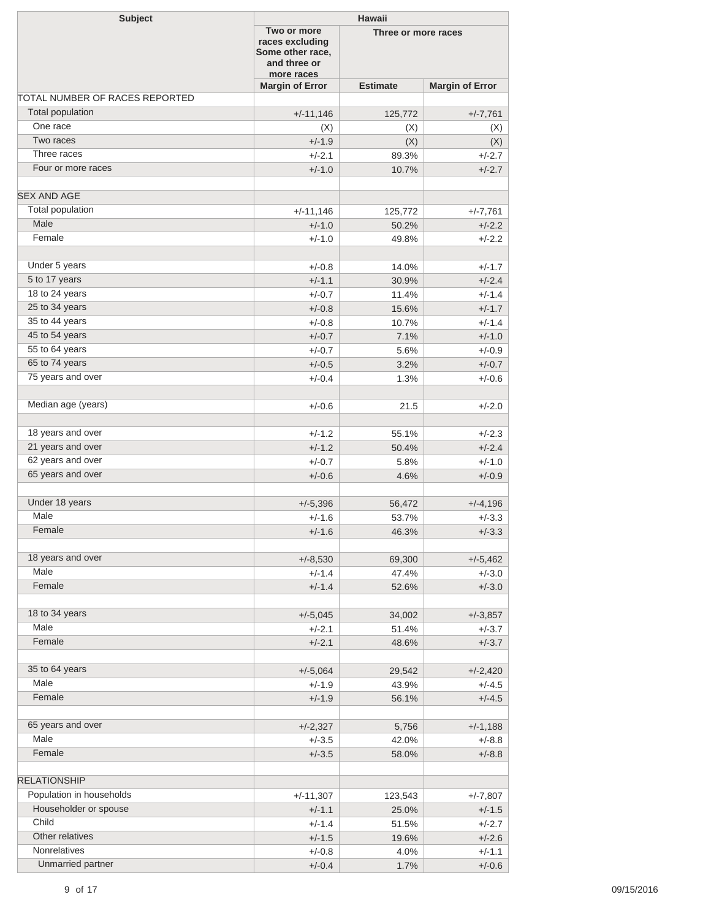| <b>Subject</b>                 |                                                                                  | <b>Hawaii</b>       |                        |  |  |  |
|--------------------------------|----------------------------------------------------------------------------------|---------------------|------------------------|--|--|--|
|                                | Two or more<br>races excluding<br>Some other race,<br>and three or<br>more races | Three or more races |                        |  |  |  |
|                                | <b>Margin of Error</b>                                                           | <b>Estimate</b>     | <b>Margin of Error</b> |  |  |  |
| TOTAL NUMBER OF RACES REPORTED |                                                                                  |                     |                        |  |  |  |
| Total population               | $+/-11,146$                                                                      | 125,772             | $+/-7,761$             |  |  |  |
| One race                       | (X)                                                                              | (X)                 | (X)                    |  |  |  |
| Two races                      | $+/-1.9$                                                                         | (X)                 | (X)                    |  |  |  |
| Three races                    | $+/-2.1$                                                                         | 89.3%               | $+/-2.7$               |  |  |  |
| Four or more races             | $+/-1.0$                                                                         | 10.7%               | $+/-2.7$               |  |  |  |
| <b>SEX AND AGE</b>             |                                                                                  |                     |                        |  |  |  |
| Total population               | $+/-11,146$                                                                      | 125,772             | $+/-7,761$             |  |  |  |
| Male                           | $+/-1.0$                                                                         | 50.2%               | $+/-2.2$               |  |  |  |
| Female                         | $+/-1.0$                                                                         | 49.8%               | $+/-2.2$               |  |  |  |
| Under 5 years                  | $+/-0.8$                                                                         | 14.0%               | $+/-1.7$               |  |  |  |
| 5 to 17 years                  | $+/-1.1$                                                                         | 30.9%               | $+/-2.4$               |  |  |  |
| 18 to 24 years                 | $+/-0.7$                                                                         | 11.4%               | $+/-1.4$               |  |  |  |
| 25 to 34 years                 | $+/-0.8$                                                                         | 15.6%               | $+/-1.7$               |  |  |  |
| 35 to 44 years                 | $+/-0.8$                                                                         | 10.7%               | $+/-1.4$               |  |  |  |
| 45 to 54 years                 | $+/-0.7$                                                                         | 7.1%                | $+/-1.0$               |  |  |  |
| 55 to 64 years                 | $+/-0.7$                                                                         | 5.6%                | $+/-0.9$               |  |  |  |
| 65 to 74 years                 | $+/-0.5$                                                                         | 3.2%                | $+/-0.7$               |  |  |  |
| 75 years and over              |                                                                                  |                     |                        |  |  |  |
|                                | $+/-0.4$                                                                         | 1.3%                | $+/-0.6$               |  |  |  |
| Median age (years)             | $+/-0.6$                                                                         | 21.5                | $+/-2.0$               |  |  |  |
|                                |                                                                                  |                     |                        |  |  |  |
| 18 years and over              | $+/-1.2$                                                                         | 55.1%               | $+/-2.3$               |  |  |  |
| 21 years and over              | $+/-1.2$                                                                         | 50.4%               | $+/-2.4$               |  |  |  |
| 62 years and over              | $+/-0.7$                                                                         | 5.8%                | $+/-1.0$               |  |  |  |
| 65 years and over              | $+/-0.6$                                                                         | 4.6%                | $+/-0.9$               |  |  |  |
| Under 18 years                 | $+/-5,396$                                                                       | 56,472              | $+/-4,196$             |  |  |  |
| Male                           | $+/-1.6$                                                                         | 53.7%               | $+/-3.3$               |  |  |  |
| Female                         | $+/-1.6$                                                                         | 46.3%               | $+/-3.3$               |  |  |  |
| 18 years and over              | $+/-8,530$                                                                       | 69,300              | $+/-5,462$             |  |  |  |
| Male                           | $+/-1.4$                                                                         | 47.4%               | $+/-3.0$               |  |  |  |
| Female                         | $+/-1.4$                                                                         | 52.6%               | $+/-3.0$               |  |  |  |
|                                |                                                                                  |                     |                        |  |  |  |
| 18 to 34 years                 | $+/-5,045$                                                                       | 34,002              | $+/-3,857$             |  |  |  |
| Male                           | $+/-2.1$                                                                         | 51.4%               | $+/-3.7$               |  |  |  |
| Female                         | $+/-2.1$                                                                         | 48.6%               | $+/-3.7$               |  |  |  |
|                                |                                                                                  |                     |                        |  |  |  |
| 35 to 64 years                 | $+/-5,064$                                                                       | 29,542              | $+/-2,420$             |  |  |  |
| Male                           | $+/-1.9$                                                                         | 43.9%               | $+/-4.5$               |  |  |  |
| Female                         | $+/-1.9$                                                                         | 56.1%               | $+/-4.5$               |  |  |  |
| 65 years and over              | $+/-2,327$                                                                       | 5,756               | $+/-1,188$             |  |  |  |
| Male                           | $+/-3.5$                                                                         | 42.0%               | $+/-8.8$               |  |  |  |
| Female                         | $+/-3.5$                                                                         | 58.0%               | $+/-8.8$               |  |  |  |
| <b>RELATIONSHIP</b>            |                                                                                  |                     |                        |  |  |  |
| Population in households       | $+/-11,307$                                                                      | 123,543             | $+/-7,807$             |  |  |  |
| Householder or spouse          | $+/-1.1$                                                                         | 25.0%               | $+/-1.5$               |  |  |  |
| Child                          | $+/-1.4$                                                                         | 51.5%               | $+/-2.7$               |  |  |  |
| Other relatives                | $+/-1.5$                                                                         | 19.6%               | $+/-2.6$               |  |  |  |
| <b>Nonrelatives</b>            | $+/-0.8$                                                                         | 4.0%                | $+/-1.1$               |  |  |  |
| Unmarried partner              | $+/-0.4$                                                                         | 1.7%                | $+/-0.6$               |  |  |  |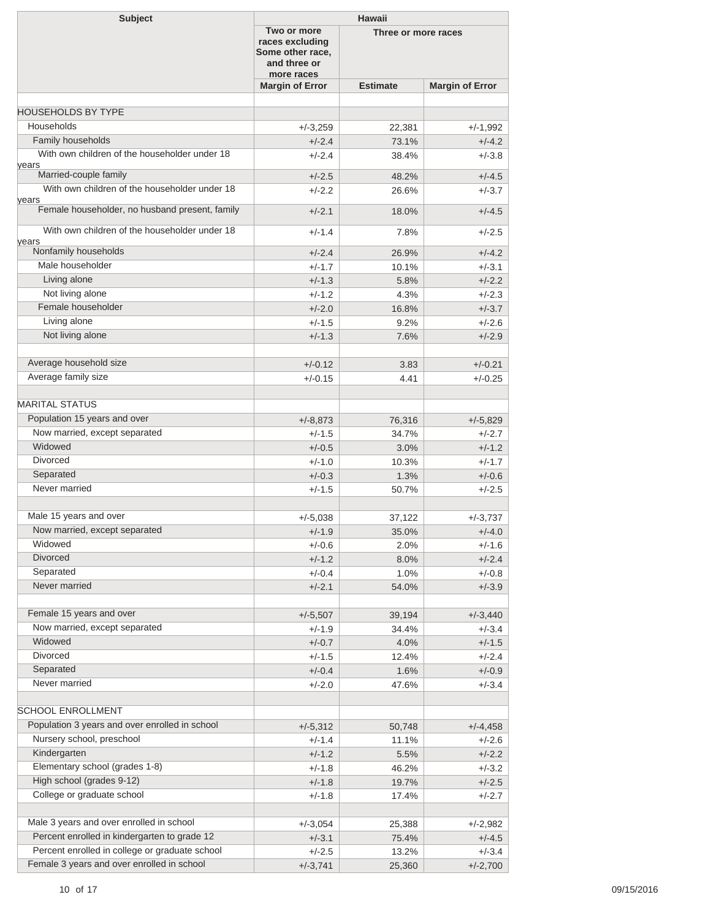| <b>Subject</b>                                          | <b>Hawaii</b>                                                                    |                     |                        |  |  |
|---------------------------------------------------------|----------------------------------------------------------------------------------|---------------------|------------------------|--|--|
|                                                         | Two or more<br>races excluding<br>Some other race,<br>and three or<br>more races | Three or more races |                        |  |  |
|                                                         | <b>Margin of Error</b>                                                           | <b>Estimate</b>     | <b>Margin of Error</b> |  |  |
|                                                         |                                                                                  |                     |                        |  |  |
| <b>HOUSEHOLDS BY TYPE</b>                               |                                                                                  |                     |                        |  |  |
| Households                                              | $+/-3,259$                                                                       | 22,381              | $+/-1,992$             |  |  |
| Family households                                       | $+/-2.4$                                                                         | 73.1%               | $+/-4.2$               |  |  |
| With own children of the householder under 18<br>years  | $+/-2.4$                                                                         | 38.4%               | $+/-3.8$               |  |  |
| Married-couple family                                   | $+/-2.5$                                                                         | 48.2%               | $+/-4.5$               |  |  |
| With own children of the householder under 18           | $+/-2.2$                                                                         | 26.6%               | $+/-3.7$               |  |  |
| years<br>Female householder, no husband present, family | $+/-2.1$                                                                         | 18.0%               | $+/-4.5$               |  |  |
| With own children of the householder under 18<br>vears  | $+/-1.4$                                                                         | 7.8%                | $+/-2.5$               |  |  |
| Nonfamily households                                    | $+/-2.4$                                                                         | 26.9%               | $+/-4.2$               |  |  |
| Male householder                                        | $+/-1.7$                                                                         | 10.1%               | $+/-3.1$               |  |  |
| Living alone                                            | $+/-1.3$                                                                         | 5.8%                | $+/-2.2$               |  |  |
| Not living alone                                        | $+/-1.2$                                                                         | 4.3%                | $+/-2.3$               |  |  |
| Female householder                                      | $+/-2.0$                                                                         | 16.8%               | $+/-3.7$               |  |  |
| Living alone                                            | $+/-1.5$                                                                         | 9.2%                | $+/-2.6$               |  |  |
| Not living alone                                        | $+/-1.3$                                                                         | 7.6%                | $+/-2.9$               |  |  |
|                                                         |                                                                                  |                     |                        |  |  |
| Average household size                                  | $+/-0.12$                                                                        | 3.83                | $+/-0.21$              |  |  |
| Average family size                                     | $+/-0.15$                                                                        | 4.41                | $+/-0.25$              |  |  |
|                                                         |                                                                                  |                     |                        |  |  |
| <b>MARITAL STATUS</b>                                   |                                                                                  |                     |                        |  |  |
| Population 15 years and over                            | $+/-8,873$                                                                       | 76,316              | $+/-5,829$             |  |  |
| Now married, except separated                           | $+/-1.5$                                                                         | 34.7%               | $+/-2.7$               |  |  |
| Widowed                                                 | $+/-0.5$                                                                         | 3.0%                | $+/-1.2$               |  |  |
| <b>Divorced</b>                                         | $+/-1.0$                                                                         | 10.3%               | $+/-1.7$               |  |  |
| Separated                                               | $+/-0.3$                                                                         | 1.3%                | $+/-0.6$               |  |  |
| Never married                                           | $+/-1.5$                                                                         | 50.7%               | $+/-2.5$               |  |  |
|                                                         |                                                                                  |                     |                        |  |  |
| Male 15 years and over                                  | $+/-5,038$                                                                       | 37,122              | $+/-3,737$             |  |  |
| Now married, except separated                           | $+/-1.9$                                                                         | 35.0%               | $+/-4.0$               |  |  |
| Widowed                                                 | $+/-0.6$                                                                         | 2.0%                | $+/-1.6$               |  |  |
| Divorced                                                | $+/-1.2$                                                                         | 8.0%                | $+/-2.4$               |  |  |
| Separated                                               | $+/-0.4$                                                                         | 1.0%                | $+/-0.8$               |  |  |
| Never married                                           | $+/-2.1$                                                                         | 54.0%               | $+/-3.9$               |  |  |
|                                                         |                                                                                  |                     |                        |  |  |
| Female 15 years and over                                | $+/-5,507$                                                                       | 39,194              | $+/-3,440$             |  |  |
| Now married, except separated                           | $+/-1.9$                                                                         | 34.4%               | $+/-3.4$               |  |  |
| Widowed                                                 | $+/-0.7$                                                                         | 4.0%                | $+/-1.5$               |  |  |
| Divorced                                                | $+/-1.5$                                                                         | 12.4%               | $+/-2.4$               |  |  |
| Separated                                               | $+/-0.4$                                                                         | 1.6%                | $+/-0.9$               |  |  |
| Never married                                           | $+/-2.0$                                                                         | 47.6%               | $+/-3.4$               |  |  |
|                                                         |                                                                                  |                     |                        |  |  |
| <b>SCHOOL ENROLLMENT</b>                                |                                                                                  |                     |                        |  |  |
| Population 3 years and over enrolled in school          | $+/-5,312$                                                                       | 50,748              | $+/-4,458$             |  |  |
| Nursery school, preschool                               | +/-1.4                                                                           | 11.1%               | $+/-2.6$               |  |  |
| Kindergarten                                            | $+/-1.2$                                                                         | 5.5%                | $+/-2.2$               |  |  |
| Elementary school (grades 1-8)                          | $+/-1.8$                                                                         | 46.2%               | $+/-3.2$               |  |  |
| High school (grades 9-12)                               | $+/-1.8$                                                                         | 19.7%               |                        |  |  |
| College or graduate school                              |                                                                                  |                     | $+/-2.5$               |  |  |
|                                                         | $+/-1.8$                                                                         | 17.4%               | $+/-2.7$               |  |  |
| Male 3 years and over enrolled in school                |                                                                                  |                     |                        |  |  |
| Percent enrolled in kindergarten to grade 12            | $+/-3,054$                                                                       | 25,388              | $+/-2,982$             |  |  |
| Percent enrolled in college or graduate school          | $+/-3.1$                                                                         | 75.4%               | $+/-4.5$               |  |  |
|                                                         | $+/-2.5$                                                                         | 13.2%               | $+/-3.4$               |  |  |
| Female 3 years and over enrolled in school              | $+/-3,741$                                                                       | 25,360              | $+/-2,700$             |  |  |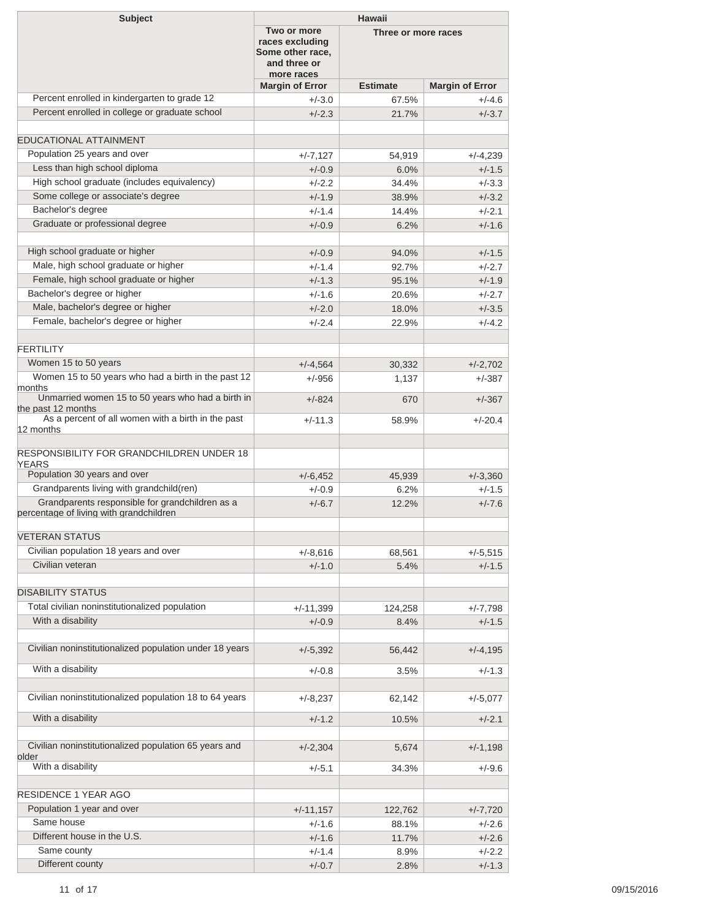| Two or more<br>Three or more races<br>races excluding<br>Some other race,<br>and three or<br>more races<br><b>Estimate</b><br><b>Margin of Error</b><br><b>Margin of Error</b><br>Percent enrolled in kindergarten to grade 12<br>67.5%<br>$+/-4.6$<br>$+/-3.0$<br>Percent enrolled in college or graduate school<br>$+/-2.3$<br>$+/-3.7$<br>21.7%<br>Population 25 years and over<br>$+/-7,127$<br>54,919<br>$+/-4,239$<br>Less than high school diploma<br>$+/-0.9$<br>6.0%<br>$+/-1.5$<br>High school graduate (includes equivalency)<br>$+/-3.3$<br>$+/-2.2$<br>34.4%<br>Some college or associate's degree<br>$+/-1.9$<br>$+/-3.2$<br>38.9%<br>Bachelor's degree<br>$+/-2.1$<br>$+/-1.4$<br>14.4%<br>Graduate or professional degree<br>$+/-0.9$<br>$+/-1.6$<br>6.2%<br>High school graduate or higher<br>$+/-0.9$<br>94.0%<br>$+/-1.5$<br>Male, high school graduate or higher<br>$+/-2.7$<br>$+/-1.4$<br>92.7%<br>Female, high school graduate or higher<br>$+/-1.3$<br>$+/-1.9$<br>95.1%<br>Bachelor's degree or higher<br>$+/-2.7$<br>$+/-1.6$<br>20.6%<br>Male, bachelor's degree or higher<br>$+/-2.0$<br>$+/-3.5$<br>18.0%<br>Female, bachelor's degree or higher<br>$+/-4.2$<br>$+/-2.4$<br>22.9%<br>Women 15 to 50 years<br>$+/-4,564$<br>30,332<br>$+/-2,702$<br>Women 15 to 50 years who had a birth in the past 12<br>$+/-956$<br>1,137<br>$+/-387$<br>months<br>Unmarried women 15 to 50 years who had a birth in<br>$+/-824$<br>$+/-367$<br>670<br>the past 12 months<br>As a percent of all women with a birth in the past<br>$+/-11.3$<br>$+/-20.4$<br>58.9%<br>12 months<br><b>YEARS</b><br>Population 30 years and over<br>$+/-6,452$<br>45.939<br>$+/-3,360$<br>Grandparents living with grandchild(ren)<br>$+/-0.9$<br>6.2%<br>$+/-1.5$<br>Grandparents responsible for grandchildren as a<br>$+/-6.7$<br>12.2%<br>$+/-7.6$<br>Civilian population 18 years and over<br>$+/-8,616$<br>$+/-5,515$<br>68,561<br>Civilian veteran<br>$+/-1.5$<br>$+/-1.0$<br>5.4%<br><b>DISABILITY STATUS</b><br>Total civilian noninstitutionalized population<br>$+/-11,399$<br>$+/-7,798$<br>124,258<br>With a disability<br>$+/-0.9$<br>$+/-1.5$<br>8.4%<br>Civilian noninstitutionalized population under 18 years<br>$+/-4,195$<br>$+/-5,392$<br>56,442<br>With a disability<br>$+/-0.8$<br>$+/-1.3$<br>3.5%<br>Civilian noninstitutionalized population 18 to 64 years<br>$+/-8,237$<br>62,142<br>$+/-5,077$<br>With a disability<br>$+/-1.2$<br>10.5%<br>$+/-2.1$<br>Civilian noninstitutionalized population 65 years and<br>$+/-2,304$<br>$+/-1,198$<br>5,674<br>older<br>With a disability<br>$+/-5.1$<br>34.3%<br>$+/-9.6$<br><b>RESIDENCE 1 YEAR AGO</b><br>Population 1 year and over<br>$+/-11,157$<br>122,762<br>$+/-7,720$<br>Same house<br>$+/-2.6$<br>+/-1.6<br>88.1%<br>Different house in the U.S.<br>$+/-1.6$<br>$+/-2.6$<br>11.7%<br>Same county<br>$+/-1.4$<br>$+/-2.2$<br>8.9%<br>Different county<br>$+/-1.3$<br>$+/-0.7$<br>2.8% | <b>Subject</b>                                   | Hawaii |  |  |  |
|-------------------------------------------------------------------------------------------------------------------------------------------------------------------------------------------------------------------------------------------------------------------------------------------------------------------------------------------------------------------------------------------------------------------------------------------------------------------------------------------------------------------------------------------------------------------------------------------------------------------------------------------------------------------------------------------------------------------------------------------------------------------------------------------------------------------------------------------------------------------------------------------------------------------------------------------------------------------------------------------------------------------------------------------------------------------------------------------------------------------------------------------------------------------------------------------------------------------------------------------------------------------------------------------------------------------------------------------------------------------------------------------------------------------------------------------------------------------------------------------------------------------------------------------------------------------------------------------------------------------------------------------------------------------------------------------------------------------------------------------------------------------------------------------------------------------------------------------------------------------------------------------------------------------------------------------------------------------------------------------------------------------------------------------------------------------------------------------------------------------------------------------------------------------------------------------------------------------------------------------------------------------------------------------------------------------------------------------------------------------------------------------------------------------------------------------------------------------------------------------------------------------------------------------------------------------------------------------------------------------------------------------------------------------------------------------------------------------------------------------------------------------------------------------------------------------------------------------------------------------------------------------------------------------------------------------------------------------|--------------------------------------------------|--------|--|--|--|
|                                                                                                                                                                                                                                                                                                                                                                                                                                                                                                                                                                                                                                                                                                                                                                                                                                                                                                                                                                                                                                                                                                                                                                                                                                                                                                                                                                                                                                                                                                                                                                                                                                                                                                                                                                                                                                                                                                                                                                                                                                                                                                                                                                                                                                                                                                                                                                                                                                                                                                                                                                                                                                                                                                                                                                                                                                                                                                                                                                   |                                                  |        |  |  |  |
|                                                                                                                                                                                                                                                                                                                                                                                                                                                                                                                                                                                                                                                                                                                                                                                                                                                                                                                                                                                                                                                                                                                                                                                                                                                                                                                                                                                                                                                                                                                                                                                                                                                                                                                                                                                                                                                                                                                                                                                                                                                                                                                                                                                                                                                                                                                                                                                                                                                                                                                                                                                                                                                                                                                                                                                                                                                                                                                                                                   |                                                  |        |  |  |  |
|                                                                                                                                                                                                                                                                                                                                                                                                                                                                                                                                                                                                                                                                                                                                                                                                                                                                                                                                                                                                                                                                                                                                                                                                                                                                                                                                                                                                                                                                                                                                                                                                                                                                                                                                                                                                                                                                                                                                                                                                                                                                                                                                                                                                                                                                                                                                                                                                                                                                                                                                                                                                                                                                                                                                                                                                                                                                                                                                                                   |                                                  |        |  |  |  |
|                                                                                                                                                                                                                                                                                                                                                                                                                                                                                                                                                                                                                                                                                                                                                                                                                                                                                                                                                                                                                                                                                                                                                                                                                                                                                                                                                                                                                                                                                                                                                                                                                                                                                                                                                                                                                                                                                                                                                                                                                                                                                                                                                                                                                                                                                                                                                                                                                                                                                                                                                                                                                                                                                                                                                                                                                                                                                                                                                                   |                                                  |        |  |  |  |
|                                                                                                                                                                                                                                                                                                                                                                                                                                                                                                                                                                                                                                                                                                                                                                                                                                                                                                                                                                                                                                                                                                                                                                                                                                                                                                                                                                                                                                                                                                                                                                                                                                                                                                                                                                                                                                                                                                                                                                                                                                                                                                                                                                                                                                                                                                                                                                                                                                                                                                                                                                                                                                                                                                                                                                                                                                                                                                                                                                   | <b>EDUCATIONAL ATTAINMENT</b>                    |        |  |  |  |
|                                                                                                                                                                                                                                                                                                                                                                                                                                                                                                                                                                                                                                                                                                                                                                                                                                                                                                                                                                                                                                                                                                                                                                                                                                                                                                                                                                                                                                                                                                                                                                                                                                                                                                                                                                                                                                                                                                                                                                                                                                                                                                                                                                                                                                                                                                                                                                                                                                                                                                                                                                                                                                                                                                                                                                                                                                                                                                                                                                   |                                                  |        |  |  |  |
|                                                                                                                                                                                                                                                                                                                                                                                                                                                                                                                                                                                                                                                                                                                                                                                                                                                                                                                                                                                                                                                                                                                                                                                                                                                                                                                                                                                                                                                                                                                                                                                                                                                                                                                                                                                                                                                                                                                                                                                                                                                                                                                                                                                                                                                                                                                                                                                                                                                                                                                                                                                                                                                                                                                                                                                                                                                                                                                                                                   |                                                  |        |  |  |  |
|                                                                                                                                                                                                                                                                                                                                                                                                                                                                                                                                                                                                                                                                                                                                                                                                                                                                                                                                                                                                                                                                                                                                                                                                                                                                                                                                                                                                                                                                                                                                                                                                                                                                                                                                                                                                                                                                                                                                                                                                                                                                                                                                                                                                                                                                                                                                                                                                                                                                                                                                                                                                                                                                                                                                                                                                                                                                                                                                                                   |                                                  |        |  |  |  |
|                                                                                                                                                                                                                                                                                                                                                                                                                                                                                                                                                                                                                                                                                                                                                                                                                                                                                                                                                                                                                                                                                                                                                                                                                                                                                                                                                                                                                                                                                                                                                                                                                                                                                                                                                                                                                                                                                                                                                                                                                                                                                                                                                                                                                                                                                                                                                                                                                                                                                                                                                                                                                                                                                                                                                                                                                                                                                                                                                                   |                                                  |        |  |  |  |
|                                                                                                                                                                                                                                                                                                                                                                                                                                                                                                                                                                                                                                                                                                                                                                                                                                                                                                                                                                                                                                                                                                                                                                                                                                                                                                                                                                                                                                                                                                                                                                                                                                                                                                                                                                                                                                                                                                                                                                                                                                                                                                                                                                                                                                                                                                                                                                                                                                                                                                                                                                                                                                                                                                                                                                                                                                                                                                                                                                   |                                                  |        |  |  |  |
|                                                                                                                                                                                                                                                                                                                                                                                                                                                                                                                                                                                                                                                                                                                                                                                                                                                                                                                                                                                                                                                                                                                                                                                                                                                                                                                                                                                                                                                                                                                                                                                                                                                                                                                                                                                                                                                                                                                                                                                                                                                                                                                                                                                                                                                                                                                                                                                                                                                                                                                                                                                                                                                                                                                                                                                                                                                                                                                                                                   |                                                  |        |  |  |  |
|                                                                                                                                                                                                                                                                                                                                                                                                                                                                                                                                                                                                                                                                                                                                                                                                                                                                                                                                                                                                                                                                                                                                                                                                                                                                                                                                                                                                                                                                                                                                                                                                                                                                                                                                                                                                                                                                                                                                                                                                                                                                                                                                                                                                                                                                                                                                                                                                                                                                                                                                                                                                                                                                                                                                                                                                                                                                                                                                                                   |                                                  |        |  |  |  |
|                                                                                                                                                                                                                                                                                                                                                                                                                                                                                                                                                                                                                                                                                                                                                                                                                                                                                                                                                                                                                                                                                                                                                                                                                                                                                                                                                                                                                                                                                                                                                                                                                                                                                                                                                                                                                                                                                                                                                                                                                                                                                                                                                                                                                                                                                                                                                                                                                                                                                                                                                                                                                                                                                                                                                                                                                                                                                                                                                                   |                                                  |        |  |  |  |
|                                                                                                                                                                                                                                                                                                                                                                                                                                                                                                                                                                                                                                                                                                                                                                                                                                                                                                                                                                                                                                                                                                                                                                                                                                                                                                                                                                                                                                                                                                                                                                                                                                                                                                                                                                                                                                                                                                                                                                                                                                                                                                                                                                                                                                                                                                                                                                                                                                                                                                                                                                                                                                                                                                                                                                                                                                                                                                                                                                   |                                                  |        |  |  |  |
|                                                                                                                                                                                                                                                                                                                                                                                                                                                                                                                                                                                                                                                                                                                                                                                                                                                                                                                                                                                                                                                                                                                                                                                                                                                                                                                                                                                                                                                                                                                                                                                                                                                                                                                                                                                                                                                                                                                                                                                                                                                                                                                                                                                                                                                                                                                                                                                                                                                                                                                                                                                                                                                                                                                                                                                                                                                                                                                                                                   |                                                  |        |  |  |  |
|                                                                                                                                                                                                                                                                                                                                                                                                                                                                                                                                                                                                                                                                                                                                                                                                                                                                                                                                                                                                                                                                                                                                                                                                                                                                                                                                                                                                                                                                                                                                                                                                                                                                                                                                                                                                                                                                                                                                                                                                                                                                                                                                                                                                                                                                                                                                                                                                                                                                                                                                                                                                                                                                                                                                                                                                                                                                                                                                                                   |                                                  |        |  |  |  |
|                                                                                                                                                                                                                                                                                                                                                                                                                                                                                                                                                                                                                                                                                                                                                                                                                                                                                                                                                                                                                                                                                                                                                                                                                                                                                                                                                                                                                                                                                                                                                                                                                                                                                                                                                                                                                                                                                                                                                                                                                                                                                                                                                                                                                                                                                                                                                                                                                                                                                                                                                                                                                                                                                                                                                                                                                                                                                                                                                                   |                                                  |        |  |  |  |
|                                                                                                                                                                                                                                                                                                                                                                                                                                                                                                                                                                                                                                                                                                                                                                                                                                                                                                                                                                                                                                                                                                                                                                                                                                                                                                                                                                                                                                                                                                                                                                                                                                                                                                                                                                                                                                                                                                                                                                                                                                                                                                                                                                                                                                                                                                                                                                                                                                                                                                                                                                                                                                                                                                                                                                                                                                                                                                                                                                   |                                                  |        |  |  |  |
|                                                                                                                                                                                                                                                                                                                                                                                                                                                                                                                                                                                                                                                                                                                                                                                                                                                                                                                                                                                                                                                                                                                                                                                                                                                                                                                                                                                                                                                                                                                                                                                                                                                                                                                                                                                                                                                                                                                                                                                                                                                                                                                                                                                                                                                                                                                                                                                                                                                                                                                                                                                                                                                                                                                                                                                                                                                                                                                                                                   | <b>FERTILITY</b>                                 |        |  |  |  |
|                                                                                                                                                                                                                                                                                                                                                                                                                                                                                                                                                                                                                                                                                                                                                                                                                                                                                                                                                                                                                                                                                                                                                                                                                                                                                                                                                                                                                                                                                                                                                                                                                                                                                                                                                                                                                                                                                                                                                                                                                                                                                                                                                                                                                                                                                                                                                                                                                                                                                                                                                                                                                                                                                                                                                                                                                                                                                                                                                                   |                                                  |        |  |  |  |
|                                                                                                                                                                                                                                                                                                                                                                                                                                                                                                                                                                                                                                                                                                                                                                                                                                                                                                                                                                                                                                                                                                                                                                                                                                                                                                                                                                                                                                                                                                                                                                                                                                                                                                                                                                                                                                                                                                                                                                                                                                                                                                                                                                                                                                                                                                                                                                                                                                                                                                                                                                                                                                                                                                                                                                                                                                                                                                                                                                   |                                                  |        |  |  |  |
|                                                                                                                                                                                                                                                                                                                                                                                                                                                                                                                                                                                                                                                                                                                                                                                                                                                                                                                                                                                                                                                                                                                                                                                                                                                                                                                                                                                                                                                                                                                                                                                                                                                                                                                                                                                                                                                                                                                                                                                                                                                                                                                                                                                                                                                                                                                                                                                                                                                                                                                                                                                                                                                                                                                                                                                                                                                                                                                                                                   |                                                  |        |  |  |  |
|                                                                                                                                                                                                                                                                                                                                                                                                                                                                                                                                                                                                                                                                                                                                                                                                                                                                                                                                                                                                                                                                                                                                                                                                                                                                                                                                                                                                                                                                                                                                                                                                                                                                                                                                                                                                                                                                                                                                                                                                                                                                                                                                                                                                                                                                                                                                                                                                                                                                                                                                                                                                                                                                                                                                                                                                                                                                                                                                                                   |                                                  |        |  |  |  |
|                                                                                                                                                                                                                                                                                                                                                                                                                                                                                                                                                                                                                                                                                                                                                                                                                                                                                                                                                                                                                                                                                                                                                                                                                                                                                                                                                                                                                                                                                                                                                                                                                                                                                                                                                                                                                                                                                                                                                                                                                                                                                                                                                                                                                                                                                                                                                                                                                                                                                                                                                                                                                                                                                                                                                                                                                                                                                                                                                                   | <b>RESPONSIBILITY FOR GRANDCHILDREN UNDER 18</b> |        |  |  |  |
|                                                                                                                                                                                                                                                                                                                                                                                                                                                                                                                                                                                                                                                                                                                                                                                                                                                                                                                                                                                                                                                                                                                                                                                                                                                                                                                                                                                                                                                                                                                                                                                                                                                                                                                                                                                                                                                                                                                                                                                                                                                                                                                                                                                                                                                                                                                                                                                                                                                                                                                                                                                                                                                                                                                                                                                                                                                                                                                                                                   | percentage of living with grandchildren          |        |  |  |  |
|                                                                                                                                                                                                                                                                                                                                                                                                                                                                                                                                                                                                                                                                                                                                                                                                                                                                                                                                                                                                                                                                                                                                                                                                                                                                                                                                                                                                                                                                                                                                                                                                                                                                                                                                                                                                                                                                                                                                                                                                                                                                                                                                                                                                                                                                                                                                                                                                                                                                                                                                                                                                                                                                                                                                                                                                                                                                                                                                                                   | <b>VETERAN STATUS</b>                            |        |  |  |  |
|                                                                                                                                                                                                                                                                                                                                                                                                                                                                                                                                                                                                                                                                                                                                                                                                                                                                                                                                                                                                                                                                                                                                                                                                                                                                                                                                                                                                                                                                                                                                                                                                                                                                                                                                                                                                                                                                                                                                                                                                                                                                                                                                                                                                                                                                                                                                                                                                                                                                                                                                                                                                                                                                                                                                                                                                                                                                                                                                                                   |                                                  |        |  |  |  |
|                                                                                                                                                                                                                                                                                                                                                                                                                                                                                                                                                                                                                                                                                                                                                                                                                                                                                                                                                                                                                                                                                                                                                                                                                                                                                                                                                                                                                                                                                                                                                                                                                                                                                                                                                                                                                                                                                                                                                                                                                                                                                                                                                                                                                                                                                                                                                                                                                                                                                                                                                                                                                                                                                                                                                                                                                                                                                                                                                                   |                                                  |        |  |  |  |
|                                                                                                                                                                                                                                                                                                                                                                                                                                                                                                                                                                                                                                                                                                                                                                                                                                                                                                                                                                                                                                                                                                                                                                                                                                                                                                                                                                                                                                                                                                                                                                                                                                                                                                                                                                                                                                                                                                                                                                                                                                                                                                                                                                                                                                                                                                                                                                                                                                                                                                                                                                                                                                                                                                                                                                                                                                                                                                                                                                   |                                                  |        |  |  |  |
|                                                                                                                                                                                                                                                                                                                                                                                                                                                                                                                                                                                                                                                                                                                                                                                                                                                                                                                                                                                                                                                                                                                                                                                                                                                                                                                                                                                                                                                                                                                                                                                                                                                                                                                                                                                                                                                                                                                                                                                                                                                                                                                                                                                                                                                                                                                                                                                                                                                                                                                                                                                                                                                                                                                                                                                                                                                                                                                                                                   |                                                  |        |  |  |  |
|                                                                                                                                                                                                                                                                                                                                                                                                                                                                                                                                                                                                                                                                                                                                                                                                                                                                                                                                                                                                                                                                                                                                                                                                                                                                                                                                                                                                                                                                                                                                                                                                                                                                                                                                                                                                                                                                                                                                                                                                                                                                                                                                                                                                                                                                                                                                                                                                                                                                                                                                                                                                                                                                                                                                                                                                                                                                                                                                                                   |                                                  |        |  |  |  |
|                                                                                                                                                                                                                                                                                                                                                                                                                                                                                                                                                                                                                                                                                                                                                                                                                                                                                                                                                                                                                                                                                                                                                                                                                                                                                                                                                                                                                                                                                                                                                                                                                                                                                                                                                                                                                                                                                                                                                                                                                                                                                                                                                                                                                                                                                                                                                                                                                                                                                                                                                                                                                                                                                                                                                                                                                                                                                                                                                                   |                                                  |        |  |  |  |
|                                                                                                                                                                                                                                                                                                                                                                                                                                                                                                                                                                                                                                                                                                                                                                                                                                                                                                                                                                                                                                                                                                                                                                                                                                                                                                                                                                                                                                                                                                                                                                                                                                                                                                                                                                                                                                                                                                                                                                                                                                                                                                                                                                                                                                                                                                                                                                                                                                                                                                                                                                                                                                                                                                                                                                                                                                                                                                                                                                   |                                                  |        |  |  |  |
|                                                                                                                                                                                                                                                                                                                                                                                                                                                                                                                                                                                                                                                                                                                                                                                                                                                                                                                                                                                                                                                                                                                                                                                                                                                                                                                                                                                                                                                                                                                                                                                                                                                                                                                                                                                                                                                                                                                                                                                                                                                                                                                                                                                                                                                                                                                                                                                                                                                                                                                                                                                                                                                                                                                                                                                                                                                                                                                                                                   |                                                  |        |  |  |  |
|                                                                                                                                                                                                                                                                                                                                                                                                                                                                                                                                                                                                                                                                                                                                                                                                                                                                                                                                                                                                                                                                                                                                                                                                                                                                                                                                                                                                                                                                                                                                                                                                                                                                                                                                                                                                                                                                                                                                                                                                                                                                                                                                                                                                                                                                                                                                                                                                                                                                                                                                                                                                                                                                                                                                                                                                                                                                                                                                                                   |                                                  |        |  |  |  |
|                                                                                                                                                                                                                                                                                                                                                                                                                                                                                                                                                                                                                                                                                                                                                                                                                                                                                                                                                                                                                                                                                                                                                                                                                                                                                                                                                                                                                                                                                                                                                                                                                                                                                                                                                                                                                                                                                                                                                                                                                                                                                                                                                                                                                                                                                                                                                                                                                                                                                                                                                                                                                                                                                                                                                                                                                                                                                                                                                                   |                                                  |        |  |  |  |
|                                                                                                                                                                                                                                                                                                                                                                                                                                                                                                                                                                                                                                                                                                                                                                                                                                                                                                                                                                                                                                                                                                                                                                                                                                                                                                                                                                                                                                                                                                                                                                                                                                                                                                                                                                                                                                                                                                                                                                                                                                                                                                                                                                                                                                                                                                                                                                                                                                                                                                                                                                                                                                                                                                                                                                                                                                                                                                                                                                   |                                                  |        |  |  |  |
|                                                                                                                                                                                                                                                                                                                                                                                                                                                                                                                                                                                                                                                                                                                                                                                                                                                                                                                                                                                                                                                                                                                                                                                                                                                                                                                                                                                                                                                                                                                                                                                                                                                                                                                                                                                                                                                                                                                                                                                                                                                                                                                                                                                                                                                                                                                                                                                                                                                                                                                                                                                                                                                                                                                                                                                                                                                                                                                                                                   |                                                  |        |  |  |  |
|                                                                                                                                                                                                                                                                                                                                                                                                                                                                                                                                                                                                                                                                                                                                                                                                                                                                                                                                                                                                                                                                                                                                                                                                                                                                                                                                                                                                                                                                                                                                                                                                                                                                                                                                                                                                                                                                                                                                                                                                                                                                                                                                                                                                                                                                                                                                                                                                                                                                                                                                                                                                                                                                                                                                                                                                                                                                                                                                                                   |                                                  |        |  |  |  |
|                                                                                                                                                                                                                                                                                                                                                                                                                                                                                                                                                                                                                                                                                                                                                                                                                                                                                                                                                                                                                                                                                                                                                                                                                                                                                                                                                                                                                                                                                                                                                                                                                                                                                                                                                                                                                                                                                                                                                                                                                                                                                                                                                                                                                                                                                                                                                                                                                                                                                                                                                                                                                                                                                                                                                                                                                                                                                                                                                                   |                                                  |        |  |  |  |
|                                                                                                                                                                                                                                                                                                                                                                                                                                                                                                                                                                                                                                                                                                                                                                                                                                                                                                                                                                                                                                                                                                                                                                                                                                                                                                                                                                                                                                                                                                                                                                                                                                                                                                                                                                                                                                                                                                                                                                                                                                                                                                                                                                                                                                                                                                                                                                                                                                                                                                                                                                                                                                                                                                                                                                                                                                                                                                                                                                   |                                                  |        |  |  |  |
|                                                                                                                                                                                                                                                                                                                                                                                                                                                                                                                                                                                                                                                                                                                                                                                                                                                                                                                                                                                                                                                                                                                                                                                                                                                                                                                                                                                                                                                                                                                                                                                                                                                                                                                                                                                                                                                                                                                                                                                                                                                                                                                                                                                                                                                                                                                                                                                                                                                                                                                                                                                                                                                                                                                                                                                                                                                                                                                                                                   |                                                  |        |  |  |  |
|                                                                                                                                                                                                                                                                                                                                                                                                                                                                                                                                                                                                                                                                                                                                                                                                                                                                                                                                                                                                                                                                                                                                                                                                                                                                                                                                                                                                                                                                                                                                                                                                                                                                                                                                                                                                                                                                                                                                                                                                                                                                                                                                                                                                                                                                                                                                                                                                                                                                                                                                                                                                                                                                                                                                                                                                                                                                                                                                                                   |                                                  |        |  |  |  |
|                                                                                                                                                                                                                                                                                                                                                                                                                                                                                                                                                                                                                                                                                                                                                                                                                                                                                                                                                                                                                                                                                                                                                                                                                                                                                                                                                                                                                                                                                                                                                                                                                                                                                                                                                                                                                                                                                                                                                                                                                                                                                                                                                                                                                                                                                                                                                                                                                                                                                                                                                                                                                                                                                                                                                                                                                                                                                                                                                                   |                                                  |        |  |  |  |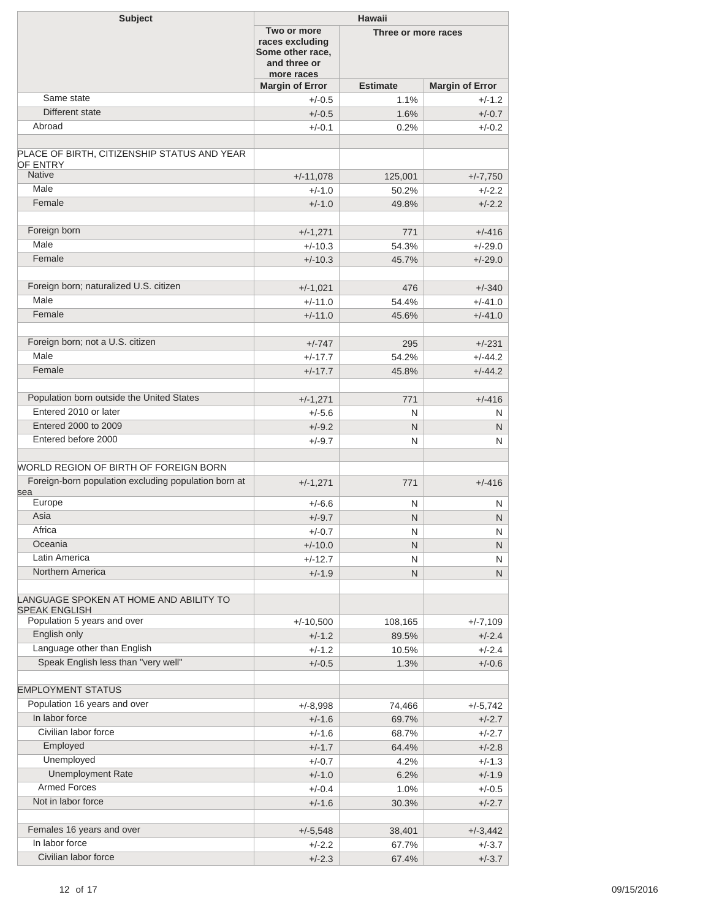| <b>Subject</b>                                                     | <b>Hawaii</b>                                                                    |                     |                        |  |
|--------------------------------------------------------------------|----------------------------------------------------------------------------------|---------------------|------------------------|--|
|                                                                    | Two or more<br>races excluding<br>Some other race,<br>and three or<br>more races | Three or more races |                        |  |
|                                                                    | <b>Margin of Error</b>                                                           | <b>Estimate</b>     | <b>Margin of Error</b> |  |
| Same state                                                         | $+/-0.5$                                                                         | 1.1%                | $+/-1.2$               |  |
| Different state                                                    | $+/-0.5$                                                                         | 1.6%                | $+/-0.7$               |  |
| Abroad                                                             | $+/-0.1$                                                                         | 0.2%                | $+/-0.2$               |  |
|                                                                    |                                                                                  |                     |                        |  |
| PLACE OF BIRTH, CITIZENSHIP STATUS AND YEAR<br>OF ENTRY            |                                                                                  |                     |                        |  |
| <b>Native</b>                                                      | $+/-11,078$                                                                      | 125,001             | $+/-7,750$             |  |
| Male                                                               | $+/-1.0$                                                                         | 50.2%               | $+/-2.2$               |  |
| Female                                                             | $+/-1.0$                                                                         | 49.8%               | $+/-2.2$               |  |
|                                                                    |                                                                                  |                     |                        |  |
| Foreign born                                                       | $+/-1,271$                                                                       | 771                 | $+/-416$               |  |
| Male                                                               | $+/-10.3$                                                                        | 54.3%               | $+/-29.0$              |  |
| Female                                                             | $+/-10.3$                                                                        | 45.7%               | $+/-29.0$              |  |
|                                                                    |                                                                                  |                     |                        |  |
| Foreign born; naturalized U.S. citizen<br>Male                     | $+/-1,021$                                                                       | 476                 | $+/-340$               |  |
| Female                                                             | $+/-11.0$                                                                        | 54.4%               | $+/-41.0$              |  |
|                                                                    | $+/-11.0$                                                                        | 45.6%               | $+/-41.0$              |  |
|                                                                    |                                                                                  |                     |                        |  |
| Foreign born; not a U.S. citizen<br>Male                           | $+/-747$                                                                         | 295                 | $+/-231$               |  |
|                                                                    | $+/-17.7$                                                                        | 54.2%               | $+/-44.2$              |  |
| Female                                                             | $+/-17.7$                                                                        | 45.8%               | $+/-44.2$              |  |
|                                                                    |                                                                                  |                     |                        |  |
| Population born outside the United States<br>Entered 2010 or later | $+/-1,271$                                                                       | 771                 | $+/-416$               |  |
|                                                                    | $+/-5.6$                                                                         | N                   | N                      |  |
| Entered 2000 to 2009                                               | $+/-9.2$                                                                         | N                   | N                      |  |
| Entered before 2000                                                | $+/-9.7$                                                                         | N                   | N                      |  |
| WORLD REGION OF BIRTH OF FOREIGN BORN                              |                                                                                  |                     |                        |  |
| Foreign-born population excluding population born at               | $+/-1,271$                                                                       | 771                 | $+/-416$               |  |
| sea                                                                |                                                                                  |                     |                        |  |
| Europe                                                             | $+/-6.6$                                                                         | N                   | N                      |  |
| Asia                                                               | $+/-9.7$                                                                         | N                   | N                      |  |
| Africa                                                             | $+/-0.7$                                                                         | ${\sf N}$           | ${\sf N}$              |  |
| Oceania                                                            | $+/-10.0$                                                                        | N                   | N                      |  |
| Latin America                                                      | $+/-12.7$                                                                        | N                   | N                      |  |
| Northern America                                                   | $+/-1.9$                                                                         | N                   | N.                     |  |
| LANGUAGE SPOKEN AT HOME AND ABILITY TO                             |                                                                                  |                     |                        |  |
| <b>SPEAK ENGLISH</b><br>Population 5 years and over                | $+/-10,500$                                                                      | 108,165             | $+/-7,109$             |  |
| English only                                                       | $+/-1.2$                                                                         | 89.5%               | $+/-2.4$               |  |
| Language other than English                                        | $+/-1.2$                                                                         | 10.5%               | $+/-2.4$               |  |
| Speak English less than "very well"                                | $+/-0.5$                                                                         | 1.3%                | $+/-0.6$               |  |
|                                                                    |                                                                                  |                     |                        |  |
| <b>EMPLOYMENT STATUS</b>                                           |                                                                                  |                     |                        |  |
| Population 16 years and over                                       | $+/-8,998$                                                                       | 74,466              | $+/-5,742$             |  |
| In labor force                                                     | $+/-1.6$                                                                         | 69.7%               | $+/-2.7$               |  |
| Civilian labor force                                               | $+/-1.6$                                                                         | 68.7%               | $+/-2.7$               |  |
| Employed                                                           | $+/-1.7$                                                                         | 64.4%               | $+/-2.8$               |  |
| Unemployed                                                         | $+/-0.7$                                                                         | 4.2%                | $+/-1.3$               |  |
| <b>Unemployment Rate</b>                                           | $+/-1.0$                                                                         | 6.2%                | $+/-1.9$               |  |
| <b>Armed Forces</b>                                                | $+/-0.4$                                                                         | 1.0%                | $+/-0.5$               |  |
| Not in labor force                                                 | $+/-1.6$                                                                         | 30.3%               | $+/-2.7$               |  |
|                                                                    |                                                                                  |                     |                        |  |
| Females 16 years and over                                          | $+/-5,548$                                                                       | 38,401              | $+/-3,442$             |  |
| In labor force                                                     | $+/-2.2$                                                                         | 67.7%               | $+/-3.7$               |  |
| Civilian labor force                                               | $+/-2.3$                                                                         | 67.4%               | $+/-3.7$               |  |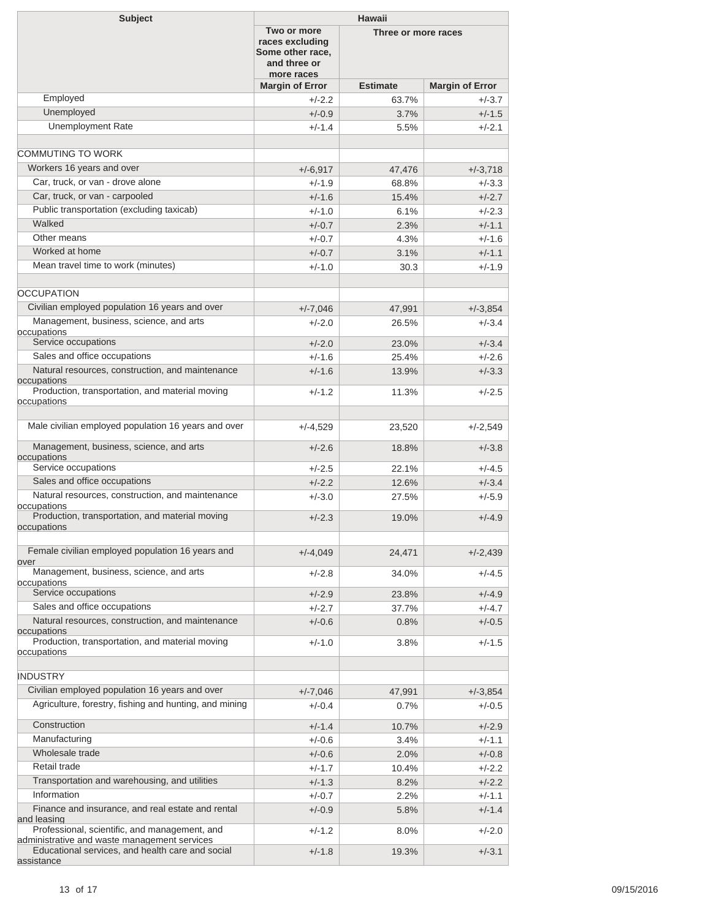| <b>Subject</b>                                                                                | Hawaii                                                                           |                     |                        |
|-----------------------------------------------------------------------------------------------|----------------------------------------------------------------------------------|---------------------|------------------------|
|                                                                                               | Two or more<br>races excluding<br>Some other race,<br>and three or<br>more races | Three or more races |                        |
|                                                                                               | <b>Margin of Error</b>                                                           | <b>Estimate</b>     | <b>Margin of Error</b> |
| Employed                                                                                      | $+/-2.2$                                                                         | 63.7%               | $+/-3.7$               |
| Unemployed                                                                                    | $+/-0.9$                                                                         | 3.7%                | $+/-1.5$               |
| <b>Unemployment Rate</b>                                                                      | $+/-1.4$                                                                         | 5.5%                | $+/-2.1$               |
|                                                                                               |                                                                                  |                     |                        |
| COMMUTING TO WORK                                                                             |                                                                                  |                     |                        |
| Workers 16 years and over                                                                     | $+/-6,917$                                                                       | 47,476              | $+/-3,718$             |
| Car, truck, or van - drove alone                                                              | $+/-1.9$                                                                         | 68.8%               | $+/-3.3$               |
| Car, truck, or van - carpooled                                                                | $+/-1.6$                                                                         | 15.4%               | $+/-2.7$               |
| Public transportation (excluding taxicab)                                                     | $+/-1.0$                                                                         | 6.1%                | $+/-2.3$               |
| Walked                                                                                        | $+/-0.7$                                                                         | 2.3%                | $+/-1.1$               |
| Other means                                                                                   | $+/-0.7$                                                                         | 4.3%                | $+/-1.6$               |
| Worked at home                                                                                | $+/-0.7$                                                                         | 3.1%                | $+/-1.1$               |
| Mean travel time to work (minutes)                                                            |                                                                                  |                     |                        |
|                                                                                               | $+/-1.0$                                                                         | 30.3                | $+/-1.9$               |
|                                                                                               |                                                                                  |                     |                        |
| <b>OCCUPATION</b>                                                                             |                                                                                  |                     |                        |
| Civilian employed population 16 years and over                                                | $+/-7,046$                                                                       | 47,991              | $+/-3,854$             |
| Management, business, science, and arts<br>occupations                                        | $+/-2.0$                                                                         | 26.5%               | $+/-3.4$               |
| Service occupations                                                                           | $+/-2.0$                                                                         | 23.0%               | $+/-3.4$               |
| Sales and office occupations                                                                  | $+/-1.6$                                                                         | 25.4%               | $+/-2.6$               |
| Natural resources, construction, and maintenance                                              | $+/-1.6$                                                                         | 13.9%               | $+/-3.3$               |
| occupations                                                                                   |                                                                                  |                     |                        |
| Production, transportation, and material moving                                               | $+/-1.2$                                                                         | 11.3%               | $+/-2.5$               |
| occupations                                                                                   |                                                                                  |                     |                        |
| Male civilian employed population 16 years and over                                           | $+/-4,529$                                                                       | 23,520              | $+/-2,549$             |
| Management, business, science, and arts                                                       | $+/-2.6$                                                                         | 18.8%               | $+/-3.8$               |
| occupations<br>Service occupations                                                            | $+/-2.5$                                                                         | 22.1%               | $+/-4.5$               |
| Sales and office occupations                                                                  | $+/-2.2$                                                                         |                     | $+/-3.4$               |
| Natural resources, construction, and maintenance                                              |                                                                                  | 12.6%               |                        |
| occupations                                                                                   | $+/-3.0$                                                                         | 27.5%               | $+/-5.9$               |
| Production, transportation, and material moving                                               | $+/-2.3$                                                                         | 19.0%               | $+/-4.9$               |
| occupations                                                                                   |                                                                                  |                     |                        |
| Female civilian employed population 16 years and<br>over                                      | $+/-4,049$                                                                       | 24,471              | $+/-2,439$             |
| Management, business, science, and arts                                                       | $+/-2.8$                                                                         | 34.0%               | $+/-4.5$               |
| occupations                                                                                   |                                                                                  |                     |                        |
| Service occupations                                                                           | $+/-2.9$                                                                         | 23.8%               | $+/-4.9$               |
| Sales and office occupations                                                                  | $+/-2.7$                                                                         | 37.7%               | $+/-4.7$               |
| Natural resources, construction, and maintenance<br>occupations                               | $+/-0.6$                                                                         | 0.8%                | $+/-0.5$               |
| Production, transportation, and material moving                                               | $+/-1.0$                                                                         | 3.8%                | $+/-1.5$               |
| occupations                                                                                   |                                                                                  |                     |                        |
|                                                                                               |                                                                                  |                     |                        |
| <b>INDUSTRY</b>                                                                               |                                                                                  |                     |                        |
| Civilian employed population 16 years and over                                                | $+/-7,046$                                                                       | 47,991              | $+/-3,854$             |
| Agriculture, forestry, fishing and hunting, and mining                                        | $+/-0.4$                                                                         | $0.7\%$             | $+/-0.5$               |
| Construction                                                                                  | $+/-1.4$                                                                         | 10.7%               | $+/-2.9$               |
| Manufacturing                                                                                 | $+/-0.6$                                                                         | 3.4%                | $+/-1.1$               |
| Wholesale trade                                                                               | $+/-0.6$                                                                         | 2.0%                | $+/-0.8$               |
| Retail trade                                                                                  | $+/-1.7$                                                                         | 10.4%               | $+/-2.2$               |
| Transportation and warehousing, and utilities                                                 | $+/-1.3$                                                                         | 8.2%                | $+/-2.2$               |
| Information                                                                                   | $+/-0.7$                                                                         | $2.2\%$             | $+/-1.1$               |
| Finance and insurance, and real estate and rental<br>and leasing                              | $+/-0.9$                                                                         | 5.8%                | $+/-1.4$               |
| Professional, scientific, and management, and<br>administrative and waste management services | $+/-1.2$                                                                         | $8.0\%$             | $+/-2.0$               |
| Educational services, and health care and social<br>assistance                                | $+/-1.8$                                                                         | 19.3%               | $+/-3.1$               |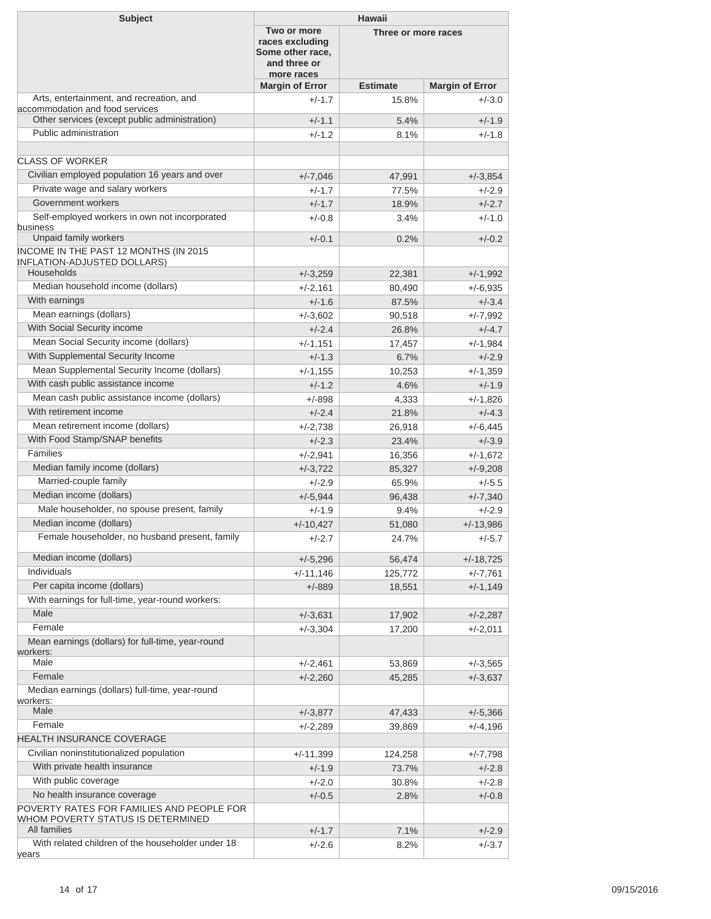| <b>Subject</b>                                                                     | <b>Hawaii</b>                                                                    |                     |                        |
|------------------------------------------------------------------------------------|----------------------------------------------------------------------------------|---------------------|------------------------|
|                                                                                    | Two or more<br>races excluding<br>Some other race,<br>and three or<br>more races | Three or more races |                        |
|                                                                                    | <b>Margin of Error</b>                                                           | <b>Estimate</b>     | <b>Margin of Error</b> |
| Arts, entertainment, and recreation, and<br>accommodation and food services        | $+/-1.7$                                                                         | 15.8%               | $+/-3.0$               |
| Other services (except public administration)                                      | $+/-1.1$                                                                         | 5.4%                | $+/-1.9$               |
| Public administration                                                              | $+/-1.2$                                                                         | 8.1%                | $+/-1.8$               |
|                                                                                    |                                                                                  |                     |                        |
| <b>CLASS OF WORKER</b>                                                             |                                                                                  |                     |                        |
| Civilian employed population 16 years and over                                     | $+/-7,046$                                                                       | 47,991              | $+/-3,854$             |
| Private wage and salary workers                                                    | $+/-1.7$                                                                         | 77.5%               | $+/-2.9$               |
| Government workers                                                                 | $+/-1.7$                                                                         | 18.9%               | $+/-2.7$               |
| Self-employed workers in own not incorporated<br>business<br>Unpaid family workers | $+/-0.8$                                                                         | 3.4%                | $+/-1.0$               |
| INCOME IN THE PAST 12 MONTHS (IN 2015                                              | $+/-0.1$                                                                         | 0.2%                | $+/-0.2$               |
| <b>INFLATION-ADJUSTED DOLLARS)</b><br>Households                                   | $+/-3,259$                                                                       | 22,381              | $+/-1,992$             |
| Median household income (dollars)                                                  | $+/-2,161$                                                                       | 80,490              | +/-6,935               |
| With earnings                                                                      | $+/-1.6$                                                                         | 87.5%               | $+/-3.4$               |
| Mean earnings (dollars)                                                            |                                                                                  |                     | $+/-7,992$             |
| With Social Security income                                                        | $+/-3,602$<br>$+/-2.4$                                                           | 90,518<br>26.8%     | $+/-4.7$               |
| Mean Social Security income (dollars)                                              | $+/-1,151$                                                                       | 17,457              | $+/-1,984$             |
| With Supplemental Security Income                                                  | $+/-1.3$                                                                         | 6.7%                | $+/-2.9$               |
| Mean Supplemental Security Income (dollars)                                        | $+/-1,155$                                                                       | 10,253              | +/-1,359               |
| With cash public assistance income                                                 | $+/-1.2$                                                                         | 4.6%                | $+/-1.9$               |
| Mean cash public assistance income (dollars)                                       | $+/-898$                                                                         | 4,333               | +/-1,826               |
| With retirement income                                                             | $+/-2.4$                                                                         | 21.8%               | $+/-4.3$               |
| Mean retirement income (dollars)                                                   | $+/-2,738$                                                                       | 26,918              | $+/-6,445$             |
| With Food Stamp/SNAP benefits                                                      | $+/-2.3$                                                                         | 23.4%               | $+/-3.9$               |
| <b>Families</b>                                                                    | $+/-2,941$                                                                       | 16,356              | +/-1,672               |
| Median family income (dollars)                                                     | $+/-3,722$                                                                       | 85,327              | $+/-9,208$             |
| Married-couple family                                                              | $+/-2.9$                                                                         | 65.9%               | $+/-5.5$               |
| Median income (dollars)                                                            | $+/-5,944$                                                                       | 96,438              | $+/-7,340$             |
| Male householder, no spouse present, family                                        | $+/-1.9$                                                                         | 9.4%                | $+/-2.9$               |
| Median income (dollars)                                                            | $+/-10,427$                                                                      | 51,080              | $+/-13,986$            |
| Female householder, no husband present, family                                     | $+/-2.7$                                                                         | 24.7%               | $+/-5.7$               |
| Median income (dollars)                                                            | $+/-5,296$                                                                       | 56,474              | $+/-18,725$            |
| Individuals                                                                        | $+/-11,146$                                                                      | 125,772             | $+/-7,761$             |
| Per capita income (dollars)                                                        | $+/-889$                                                                         | 18,551              | +/-1,149               |
| With earnings for full-time, year-round workers:                                   |                                                                                  |                     |                        |
| Male                                                                               | $+/-3,631$                                                                       | 17,902              | $+/-2,287$             |
| Female                                                                             | $+/-3,304$                                                                       | 17,200              | +/-2,011               |
| Mean earnings (dollars) for full-time, year-round<br>workers:                      |                                                                                  |                     |                        |
| Male                                                                               | $+/-2,461$                                                                       | 53,869              | $+/-3,565$             |
| Female                                                                             | $+/-2,260$                                                                       | 45,285              | $+/-3,637$             |
| Median earnings (dollars) full-time, year-round<br>workers:                        |                                                                                  |                     |                        |
| Male                                                                               | $+/-3,877$                                                                       | 47,433              | $+/-5,366$             |
| Female                                                                             | $+/-2,289$                                                                       | 39,869              | +/-4,196               |
| HEALTH INSURANCE COVERAGE                                                          |                                                                                  |                     |                        |
| Civilian noninstitutionalized population                                           | $+/-11,399$                                                                      | 124,258             | $+/-7,798$             |
| With private health insurance                                                      | $+/-1.9$                                                                         | 73.7%               | $+/-2.8$               |
| With public coverage                                                               | $+/-2.0$                                                                         | 30.8%               | $+/-2.8$               |
| No health insurance coverage                                                       | $+/-0.5$                                                                         | 2.8%                | $+/-0.8$               |
| POVERTY RATES FOR FAMILIES AND PEOPLE FOR<br>WHOM POVERTY STATUS IS DETERMINED     |                                                                                  |                     |                        |
| All families                                                                       | $+/-1.7$                                                                         | 7.1%                | $+/-2.9$               |
| With related children of the householder under 18<br>years                         | $+/-2.6$                                                                         | 8.2%                | $+/-3.7$               |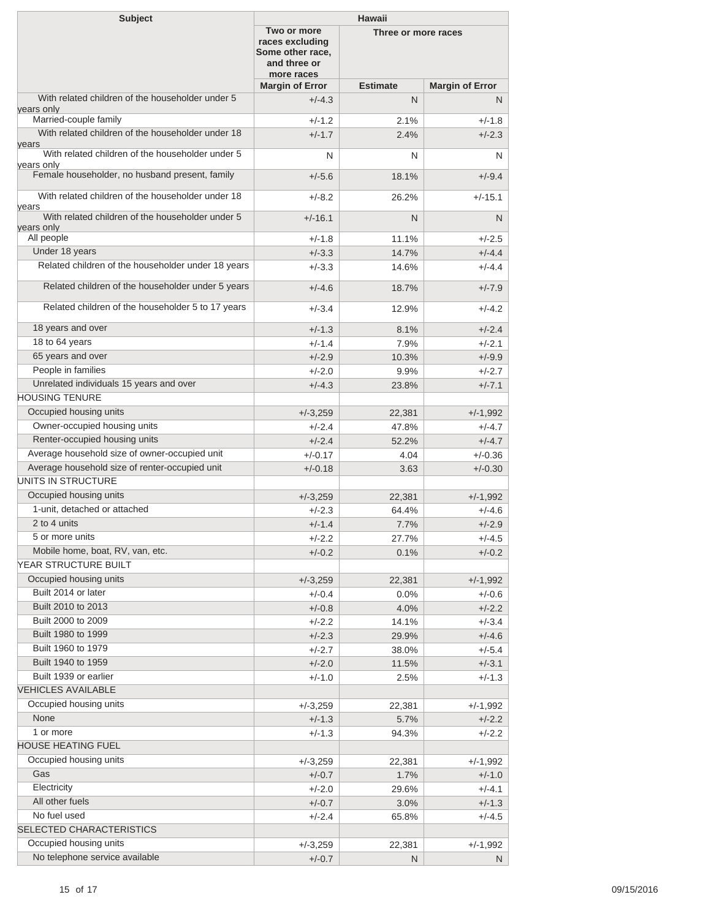| <b>Subject</b>                                                   | <b>Hawaii</b>                                                                                           |                 |                        |
|------------------------------------------------------------------|---------------------------------------------------------------------------------------------------------|-----------------|------------------------|
|                                                                  | Two or more<br>Three or more races<br>races excluding<br>Some other race,<br>and three or<br>more races |                 |                        |
|                                                                  | <b>Margin of Error</b>                                                                                  | <b>Estimate</b> | <b>Margin of Error</b> |
| With related children of the householder under 5<br>years only   | $+/-4.3$                                                                                                | N               | N                      |
| Married-couple family                                            | $+/-1.2$                                                                                                | 2.1%            | $+/-1.8$               |
| With related children of the householder under 18                | $+/-1.7$                                                                                                | 2.4%            | $+/-2.3$               |
| vears<br>With related children of the householder under 5        | N                                                                                                       | N               | N                      |
| years only<br>Female householder, no husband present, family     | $+/-5.6$                                                                                                | 18.1%           | $+/-9.4$               |
| With related children of the householder under 18                | $+/-8.2$                                                                                                | 26.2%           | $+/-15.1$              |
| years<br>With related children of the householder under 5        | $+/-16.1$                                                                                               | N               | N                      |
| years only<br>All people                                         | $+/-1.8$                                                                                                | 11.1%           | $+/-2.5$               |
| Under 18 years                                                   | $+/-3.3$                                                                                                | 14.7%           | $+/-4.4$               |
| Related children of the householder under 18 years               | $+/-3.3$                                                                                                | 14.6%           | $+/-4.4$               |
| Related children of the householder under 5 years                | $+/-4.6$                                                                                                | 18.7%           | $+/-7.9$               |
|                                                                  |                                                                                                         |                 |                        |
| Related children of the householder 5 to 17 years                | $+/-3.4$                                                                                                | 12.9%           | $+/-4.2$               |
| 18 years and over                                                | $+/-1.3$                                                                                                | 8.1%            | $+/-2.4$               |
| 18 to 64 years                                                   | $+/-1.4$                                                                                                | 7.9%            | $+/-2.1$               |
| 65 years and over                                                | $+/-2.9$                                                                                                | 10.3%           | $+/-9.9$               |
| People in families                                               | $+/-2.0$                                                                                                | 9.9%            | $+/-2.7$               |
| Unrelated individuals 15 years and over<br><b>HOUSING TENURE</b> | $+/-4.3$                                                                                                | 23.8%           | $+/-7.1$               |
| Occupied housing units                                           |                                                                                                         |                 |                        |
| Owner-occupied housing units                                     | $+/-3,259$                                                                                              | 22,381          | $+/-1,992$             |
| Renter-occupied housing units                                    | $+/-2.4$<br>$+/-2.4$                                                                                    | 47.8%<br>52.2%  | $+/-4.7$<br>$+/-4.7$   |
| Average household size of owner-occupied unit                    | $+/-0.17$                                                                                               | 4.04            | $+/-0.36$              |
| Average household size of renter-occupied unit                   | $+/-0.18$                                                                                               | 3.63            | $+/-0.30$              |
| <b>UNITS IN STRUCTURE</b>                                        |                                                                                                         |                 |                        |
| Occupied housing units                                           | $+/-3,259$                                                                                              | 22,381          | $+/-1,992$             |
| 1-unit, detached or attached                                     | $+/-2.3$                                                                                                | 64.4%           | $+/-4.6$               |
| 2 to 4 units                                                     | $+/-1.4$                                                                                                | 7.7%            | $+/-2.9$               |
| 5 or more units                                                  | $+/-2.2$                                                                                                | 27.7%           | $+/-4.5$               |
| Mobile home, boat, RV, van, etc.                                 | $+/-0.2$                                                                                                | 0.1%            | $+/-0.2$               |
| YEAR STRUCTURE BUILT                                             |                                                                                                         |                 |                        |
| Occupied housing units                                           | $+/-3,259$                                                                                              | 22,381          | $+/-1,992$             |
| Built 2014 or later                                              | $+/-0.4$                                                                                                | 0.0%            | $+/-0.6$               |
| Built 2010 to 2013                                               | $+/-0.8$                                                                                                | 4.0%            | $+/-2.2$               |
| Built 2000 to 2009                                               | $+/-2.2$                                                                                                | 14.1%           | $+/-3.4$               |
| Built 1980 to 1999                                               | $+/-2.3$                                                                                                | 29.9%           | $+/-4.6$               |
| Built 1960 to 1979                                               | $+/-2.7$                                                                                                | 38.0%           | $+/-5.4$               |
| Built 1940 to 1959                                               | $+/-2.0$                                                                                                | 11.5%           | $+/-3.1$               |
| Built 1939 or earlier                                            | $+/-1.0$                                                                                                | 2.5%            | $+/-1.3$               |
| <b>VEHICLES AVAILABLE</b>                                        |                                                                                                         |                 |                        |
| Occupied housing units                                           | $+/-3,259$                                                                                              | 22,381          | $+/-1,992$             |
| None                                                             | $+/-1.3$                                                                                                | 5.7%            | $+/-2.2$               |
| 1 or more<br><b>HOUSE HEATING FUEL</b>                           | $+/-1.3$                                                                                                | 94.3%           | $+/-2.2$               |
| Occupied housing units                                           |                                                                                                         |                 |                        |
| Gas                                                              | $+/-3,259$<br>$+/-0.7$                                                                                  | 22,381<br>1.7%  | $+/-1,992$<br>$+/-1.0$ |
| Electricity                                                      | $+/-2.0$                                                                                                | 29.6%           | $+/-4.1$               |
| All other fuels                                                  | $+/-0.7$                                                                                                | 3.0%            | $+/-1.3$               |
| No fuel used                                                     | $+/-2.4$                                                                                                | 65.8%           | $+/-4.5$               |
| SELECTED CHARACTERISTICS                                         |                                                                                                         |                 |                        |
| Occupied housing units                                           | $+/-3,259$                                                                                              | 22,381          | $+/-1,992$             |
| No telephone service available                                   | $+/-0.7$                                                                                                | N               | N                      |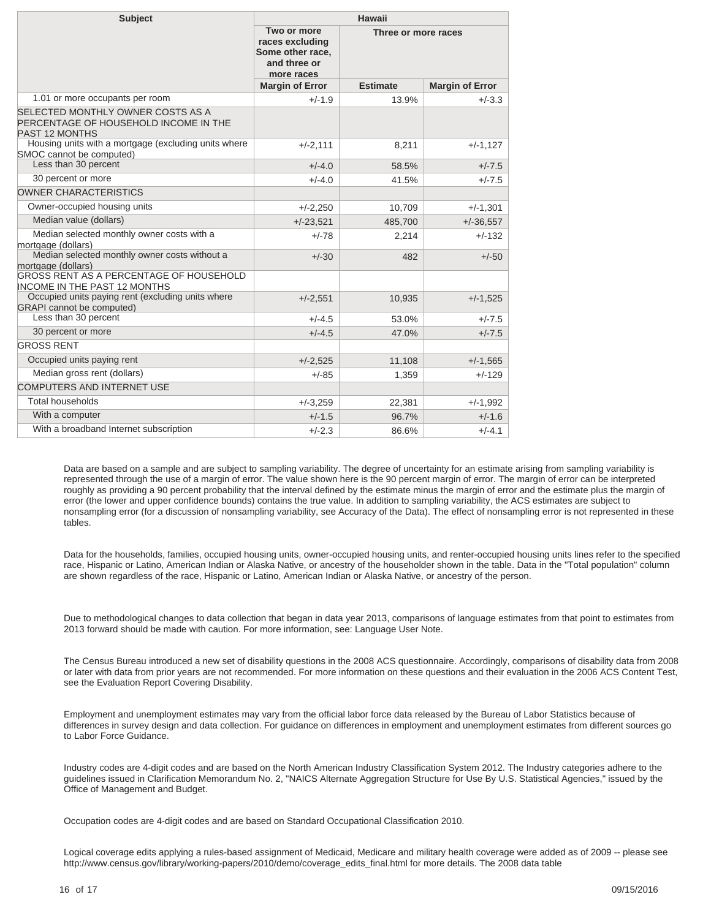| <b>Subject</b>                                                                                      | Hawaii                                                                           |                     |                        |
|-----------------------------------------------------------------------------------------------------|----------------------------------------------------------------------------------|---------------------|------------------------|
|                                                                                                     | Two or more<br>races excluding<br>Some other race,<br>and three or<br>more races | Three or more races |                        |
|                                                                                                     | <b>Margin of Error</b>                                                           | <b>Estimate</b>     | <b>Margin of Error</b> |
| 1.01 or more occupants per room                                                                     | $+/-1.9$                                                                         | 13.9%               | $+/-3.3$               |
| SELECTED MONTHLY OWNER COSTS AS A<br>PERCENTAGE OF HOUSEHOLD INCOME IN THE<br><b>PAST 12 MONTHS</b> |                                                                                  |                     |                        |
| Housing units with a mortgage (excluding units where<br>SMOC cannot be computed)                    | $+/-2,111$                                                                       | 8,211               | $+/-1,127$             |
| Less than 30 percent                                                                                | $+/-4.0$                                                                         | 58.5%               | $+/-7.5$               |
| 30 percent or more                                                                                  | $+/-4.0$                                                                         | 41.5%               | $+/-7.5$               |
| <b>OWNER CHARACTERISTICS</b>                                                                        |                                                                                  |                     |                        |
| Owner-occupied housing units                                                                        | $+/-2,250$                                                                       | 10,709              | $+/-1,301$             |
| Median value (dollars)                                                                              | $+/-23,521$                                                                      | 485,700             | $+/-36,557$            |
| Median selected monthly owner costs with a<br>mortgage (dollars)                                    | $+/-78$                                                                          | 2,214               | $+/-132$               |
| Median selected monthly owner costs without a<br>mortgage (dollars)                                 | $+/-30$                                                                          | 482                 | $+/-50$                |
| <b>GROSS RENT AS A PERCENTAGE OF HOUSEHOLD</b><br><b>INCOME IN THE PAST 12 MONTHS</b>               |                                                                                  |                     |                        |
| Occupied units paying rent (excluding units where<br><b>GRAPI</b> cannot be computed)               | $+/-2,551$                                                                       | 10,935              | $+/-1,525$             |
| Less than 30 percent                                                                                | $+/-4.5$                                                                         | 53.0%               | $+/-7.5$               |
| 30 percent or more                                                                                  | $+/-4.5$                                                                         | 47.0%               | $+/-7.5$               |
| <b>GROSS RENT</b>                                                                                   |                                                                                  |                     |                        |
| Occupied units paying rent                                                                          | $+/-2,525$                                                                       | 11,108              | $+/-1,565$             |
| Median gross rent (dollars)                                                                         | $+/-85$                                                                          | 1,359               | $+/-129$               |
| <b>COMPUTERS AND INTERNET USE</b>                                                                   |                                                                                  |                     |                        |
| <b>Total households</b>                                                                             | $+/-3,259$                                                                       | 22,381              | $+/-1,992$             |
| With a computer                                                                                     | $+/-1.5$                                                                         | 96.7%               | $+/-1.6$               |
| With a broadband Internet subscription                                                              | $+/-2.3$                                                                         | 86.6%               | $+/-4.1$               |

Data are based on a sample and are subject to sampling variability. The degree of uncertainty for an estimate arising from sampling variability is represented through the use of a margin of error. The value shown here is the 90 percent margin of error. The margin of error can be interpreted roughly as providing a 90 percent probability that the interval defined by the estimate minus the margin of error and the estimate plus the margin of error (the lower and upper confidence bounds) contains the true value. In addition to sampling variability, the ACS estimates are subject to nonsampling error (for a discussion of nonsampling variability, see Accuracy of the Data). The effect of nonsampling error is not represented in these tables.

Data for the households, families, occupied housing units, owner-occupied housing units, and renter-occupied housing units lines refer to the specified race, Hispanic or Latino, American Indian or Alaska Native, or ancestry of the householder shown in the table. Data in the "Total population" column are shown regardless of the race, Hispanic or Latino, American Indian or Alaska Native, or ancestry of the person.

Due to methodological changes to data collection that began in data year 2013, comparisons of language estimates from that point to estimates from 2013 forward should be made with caution. For more information, see: Language User Note.

The Census Bureau introduced a new set of disability questions in the 2008 ACS questionnaire. Accordingly, comparisons of disability data from 2008 or later with data from prior years are not recommended. For more information on these questions and their evaluation in the 2006 ACS Content Test, see the Evaluation Report Covering Disability.

Employment and unemployment estimates may vary from the official labor force data released by the Bureau of Labor Statistics because of differences in survey design and data collection. For guidance on differences in employment and unemployment estimates from different sources go to Labor Force Guidance.

Industry codes are 4-digit codes and are based on the North American Industry Classification System 2012. The Industry categories adhere to the guidelines issued in Clarification Memorandum No. 2, "NAICS Alternate Aggregation Structure for Use By U.S. Statistical Agencies," issued by the Office of Management and Budget.

Occupation codes are 4-digit codes and are based on Standard Occupational Classification 2010.

Logical coverage edits applying a rules-based assignment of Medicaid, Medicare and military health coverage were added as of 2009 -- please see http://www.census.gov/library/working-papers/2010/demo/coverage\_edits\_final.html for more details. The 2008 data table